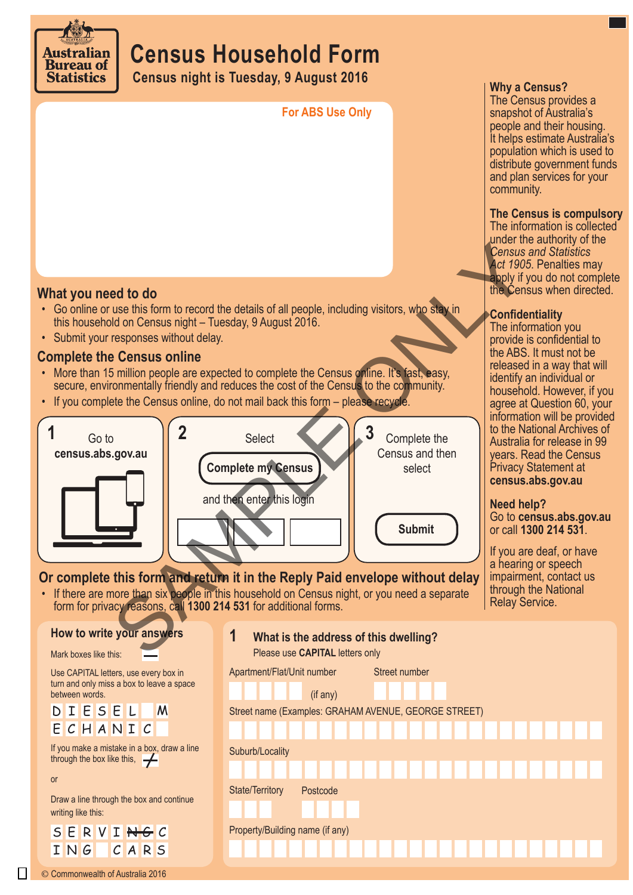

# **Census Household Form**

**Census night is Tuesday, 9 August 2016**

**For ABS Use Only**

#### **Why a Census?**

The Census provides a snapshot of Australia's people and their housing. It helps estimate Australia's population which is used to distribute government funds and plan services for your community.

### **The Census is compulsory**

The information is collected under the authority of the *Census and Statistics Act 1905*. Penalties may apply if you do not complete the Census when directed.

# **Confidentiality**

The information you provide is confidential to the ABS. It must not be released in a way that will identify an individual or household. However, if you agree at Question 60, your information will be provided to the National Archives of Australia for release in 99 years. Read the Census Privacy Statement at **census.abs.gov.au**

#### **Need help?**

Go to **census.abs.gov.au** or call **1300 214 531**.

If you are deaf, or have a hearing or speech impairment, contact us through the National Relay Service.

**What you need to do** 

- Go online or use this form to record the details of all people, including visitors, who stay in this household on Census night – Tuesday, 9 August 2016.
- Submit your responses without delay.

# **Complete the Census online**

- More than 15 million people are expected to complete the Census online. It's fast, easy, secure, environmentally friendly and reduces the cost of the Census to the community.
- If you complete the Census online, do not mail back this form please recycle.



# **Or complete this form and return it in the Reply Paid envelope without delay**

• If there are more than six people in this household on Census night, or you need a separate form for privacy reasons, call **1300 214 531** for additional forms.

#### © Commonwealth of Australia 2016 Draw a line through the box and continue writing like this: SERVI<del>NG</del>C ING CARS **How to write your answers** If you make a mistake in a box, draw a line through the box like this,  $\rightarrow$ Mark boxes like this: Use CAPITAL letters, use every box in turn and only miss a box to leave a space between words. D I E S E L E C H A N I C M or Street name (Examples: GRAHAM AVENUE, GEORGE STREET) Suburb/Locality State/Territory Postcode Property/Building name (if any) Apartment/Flat/Unit number Street number (if any) **1 What is the address of this dwelling?**  Please use **CAPITAL** letters only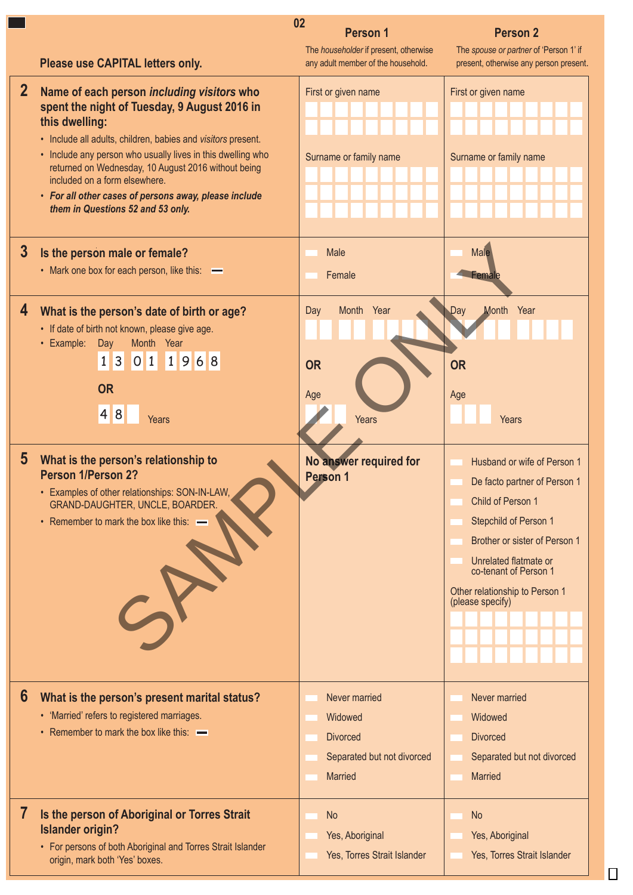|                | 02                                                                                                                                                                                                                                                                                                                                                                                                                                | <b>Person 1</b>                                                                             | Person <sub>2</sub>                                                                                                                                                                                                                                |
|----------------|-----------------------------------------------------------------------------------------------------------------------------------------------------------------------------------------------------------------------------------------------------------------------------------------------------------------------------------------------------------------------------------------------------------------------------------|---------------------------------------------------------------------------------------------|----------------------------------------------------------------------------------------------------------------------------------------------------------------------------------------------------------------------------------------------------|
|                | Please use CAPITAL letters only.                                                                                                                                                                                                                                                                                                                                                                                                  | The householder if present, otherwise<br>any adult member of the household.                 | The spouse or partner of 'Person 1' if<br>present, otherwise any person present.                                                                                                                                                                   |
| $\mathbf{2}$   | Name of each person including visitors who<br>spent the night of Tuesday, 9 August 2016 in<br>this dwelling:<br>• Include all adults, children, babies and visitors present.<br>• Include any person who usually lives in this dwelling who<br>returned on Wednesday, 10 August 2016 without being<br>included on a form elsewhere.<br>• For all other cases of persons away, please include<br>them in Questions 52 and 53 only. | First or given name<br>Surname or family name                                               | First or given name<br>Surname or family name                                                                                                                                                                                                      |
| $\mathbf{3}$   | Is the person male or female?<br>• Mark one box for each person, like this:<br>—                                                                                                                                                                                                                                                                                                                                                  | Male<br>Female                                                                              | Male<br>-emale                                                                                                                                                                                                                                     |
| 4              | What is the person's date of birth or age?<br>• If date of birth not known, please give age.<br>• Example: Day<br>Month Year<br>1 3 0 1 1 9 6 8<br><b>OR</b><br>4 8 <br>Years                                                                                                                                                                                                                                                     | Month Year<br>Day<br><b>OR</b><br>Age<br>Years                                              | Day<br>Month Year<br><b>OR</b><br>Age<br>Years                                                                                                                                                                                                     |
| $\overline{5}$ | What is the person's relationship to<br>Person 1/Person 2?<br>Examples of other relationships: SON-IN-LAW,<br>GRAND-DAUGHTER, UNCLE, BOARDER.<br>• Remember to mark the box like this: -                                                                                                                                                                                                                                          | No answer required for<br>Person 1                                                          | Husband or wife of Person 1<br>De facto partner of Person 1<br>Child of Person 1<br>Stepchild of Person 1<br>Brother or sister of Person 1<br>Unrelated flatmate or<br>co-tenant of Person 1<br>Other relationship to Person 1<br>(please specify) |
| $6\phantom{1}$ | What is the person's present marital status?<br>• 'Married' refers to registered marriages.<br>• Remember to mark the box like this: —                                                                                                                                                                                                                                                                                            | Never married<br>Widowed<br><b>Divorced</b><br>Separated but not divorced<br><b>Married</b> | Never married<br>Widowed<br><b>Divorced</b><br>Separated but not divorced<br><b>Married</b>                                                                                                                                                        |
| 7              | Is the person of Aboriginal or Torres Strait<br><b>Islander origin?</b><br>• For persons of both Aboriginal and Torres Strait Islander<br>origin, mark both 'Yes' boxes.                                                                                                                                                                                                                                                          | <b>No</b><br>Yes, Aboriginal<br>Yes, Torres Strait Islander                                 | <b>No</b><br>Yes, Aboriginal<br>Yes, Torres Strait Islander                                                                                                                                                                                        |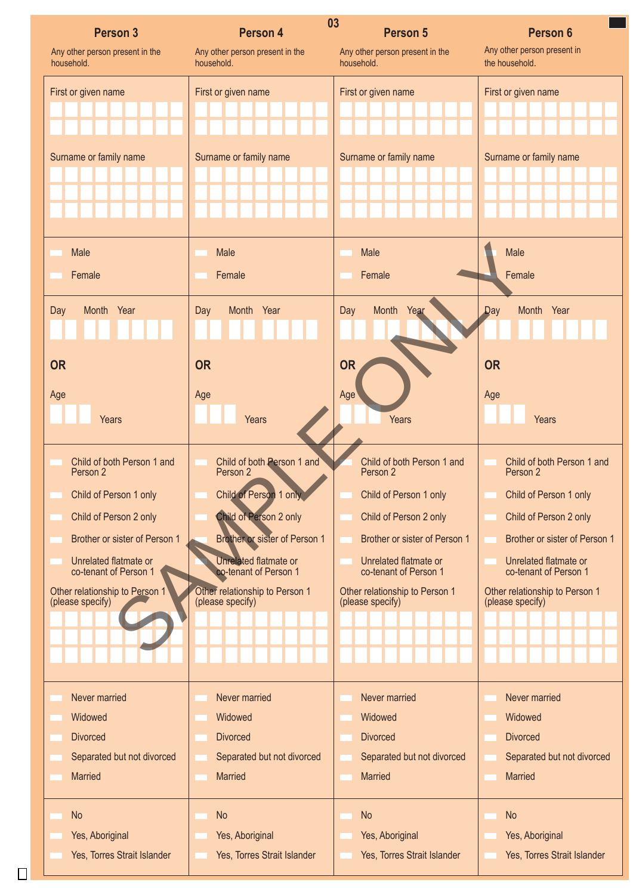| <b>Person 3</b>                 | Person 4                             | 03<br><b>Person 5</b>           | <b>Person 6</b>                |
|---------------------------------|--------------------------------------|---------------------------------|--------------------------------|
| Any other person present in the | Any other person present in the      | Any other person present in the | Any other person present in    |
| household.                      | household.                           | household.                      | the household.                 |
| First or given name             | First or given name                  | First or given name             | First or given name            |
| Surname or family name          | Surname or family name               | Surname or family name          | Surname or family name         |
|                                 |                                      |                                 |                                |
| Male                            | Male                                 | Male                            | Male                           |
| Female                          | Female                               | Female                          | Female                         |
| Month Year                      | Month Year                           | Month Year                      | Month Year                     |
| Day                             | Day                                  | Day                             | <b>Day</b>                     |
| <b>OR</b>                       | <b>OR</b>                            | <b>OR</b>                       | <b>OR</b>                      |
| Age                             | Age                                  | Age                             | Age                            |
| Years                           | Years                                | Years                           | Years                          |
| Child of both Person 1 and      | Child of both Person 1 and           | Child of both Person 1 and      | Child of both Person 1 and     |
| Person 2                        | Person 2                             | Person 2                        | Person 2                       |
| Child of Person 1 only          | Child of Person 1 only               | Child of Person 1 only          | Child of Person 1 only         |
| Child of Person 2 only          | Child of Person 2 only               | Child of Person 2 only          | Child of Person 2 only         |
| Brother or sister of Person 1   | <b>Brother or sister of Person 1</b> | Brother or sister of Person 1   | Brother or sister of Person 1  |
| Unrelated flatmate or           | Unrelated flatmate or                | Unrelated flatmate or           | Unrelated flatmate or          |
| co-tenant of Person 1           | co-tenant of Person 1                | co-tenant of Person 1           | co-tenant of Person 1          |
| Other relationship to Person 1  | Other relationship to Person 1       | Other relationship to Person 1  | Other relationship to Person 1 |
| (please specify)                | (please specify)                     | (please specify)                | (please specify)               |
|                                 |                                      |                                 |                                |
| Never married                   | Never married                        | Never married                   | Never married                  |
| Widowed                         | Widowed                              | Widowed                         | Widowed                        |
| <b>Divorced</b>                 | <b>Divorced</b>                      | <b>Divorced</b>                 | <b>Divorced</b>                |
| Separated but not divorced      | Separated but not divorced           | Separated but not divorced      | Separated but not divorced     |
| <b>Married</b>                  | <b>Married</b>                       | <b>Married</b>                  | <b>Married</b>                 |
| <b>No</b>                       | <b>No</b>                            | <b>No</b>                       | <b>No</b>                      |
| Yes, Aboriginal                 | Yes, Aboriginal                      | Yes, Aboriginal                 | Yes, Aboriginal                |
| Yes, Torres Strait Islander     | Yes, Torres Strait Islander          | Yes, Torres Strait Islander     | Yes, Torres Strait Islander    |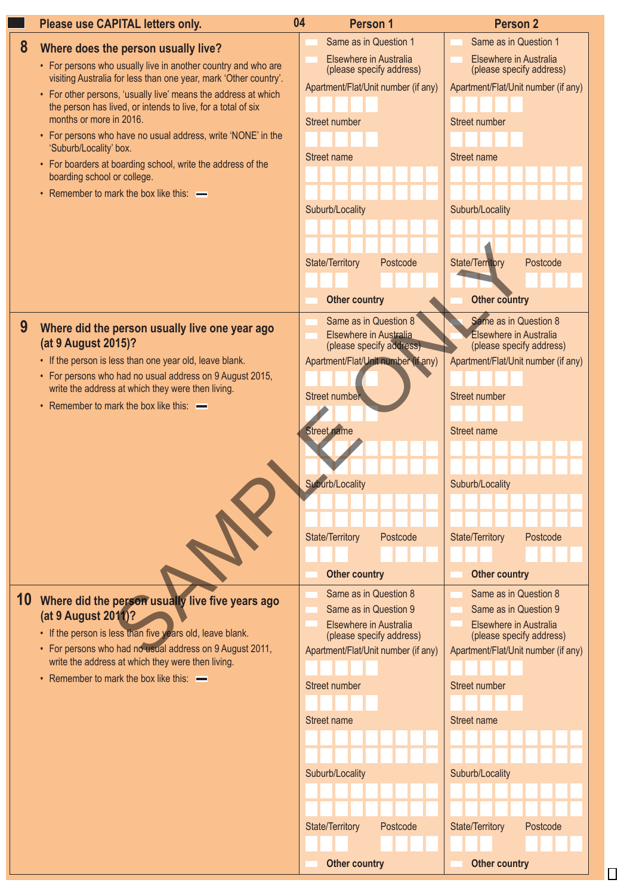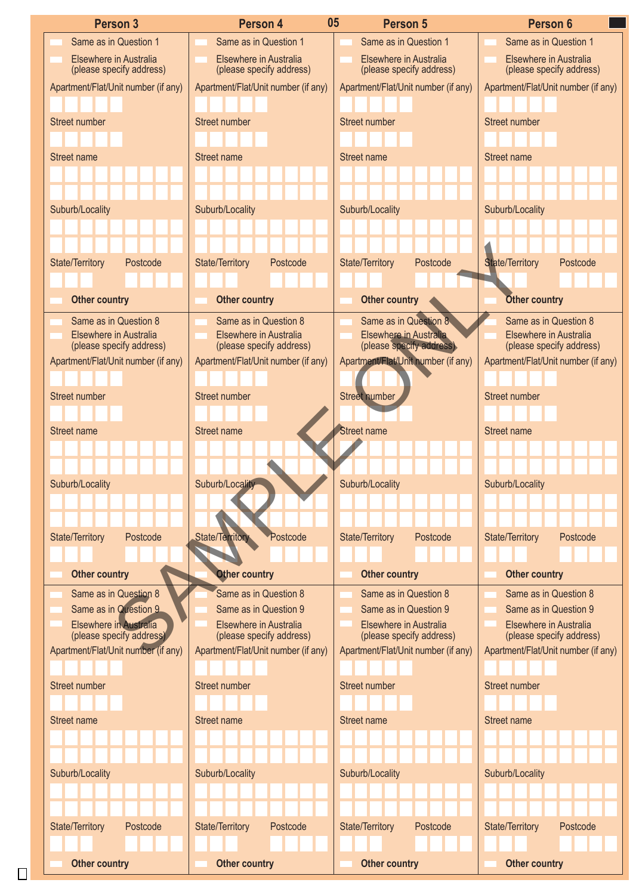| <b>Person 3</b>                                                 |                                    | Person 4                                                        | 05                     | Person 5                                                        | Person 6                                                        |          |
|-----------------------------------------------------------------|------------------------------------|-----------------------------------------------------------------|------------------------|-----------------------------------------------------------------|-----------------------------------------------------------------|----------|
| Same as in Question 1                                           |                                    | Same as in Question 1                                           |                        | Same as in Question 1                                           | Same as in Question 1                                           |          |
| Elsewhere in Australia<br>(please specify address)              |                                    | Elsewhere in Australia<br>(please specify address)              |                        | Elsewhere in Australia<br>(please specify address)              | Elsewhere in Australia<br>(please specify address)              |          |
| Apartment/Flat/Unit number (if any)                             |                                    | Apartment/Flat/Unit number (if any)                             |                        | Apartment/Flat/Unit number (if any)                             | Apartment/Flat/Unit number (if any)                             |          |
|                                                                 |                                    |                                                                 |                        |                                                                 |                                                                 |          |
| Street number                                                   | Street number                      |                                                                 | Street number          |                                                                 | Street number                                                   |          |
|                                                                 |                                    |                                                                 |                        |                                                                 |                                                                 |          |
| Street name                                                     | Street name                        |                                                                 | Street name            |                                                                 | Street name                                                     |          |
|                                                                 |                                    |                                                                 |                        |                                                                 |                                                                 |          |
|                                                                 |                                    |                                                                 |                        |                                                                 |                                                                 |          |
| Suburb/Locality                                                 |                                    | Suburb/Locality                                                 | Suburb/Locality        |                                                                 | Suburb/Locality                                                 |          |
|                                                                 |                                    |                                                                 |                        |                                                                 |                                                                 |          |
|                                                                 |                                    |                                                                 |                        |                                                                 |                                                                 |          |
| State/Territory                                                 | Postcode<br>State/Territory        | Postcode                                                        | State/Territory        | Postcode                                                        | <b>State/Territory</b>                                          | Postcode |
|                                                                 |                                    |                                                                 |                        |                                                                 |                                                                 |          |
| <b>Other country</b>                                            |                                    | <b>Other country</b>                                            |                        | Other country                                                   | Other country                                                   |          |
| Same as in Question 8                                           |                                    | Same as in Question 8                                           |                        | Same as in Question 8                                           | Same as in Question 8                                           |          |
| Elsewhere in Australia<br>(please specify address)              |                                    | Elsewhere in Australia<br>(please specify address)              |                        | Elsewhere in Australia<br>(please specify address)              | Elsewhere in Australia<br>(please specify address)              |          |
| Apartment/Flat/Unit number (if any)                             |                                    | Apartment/Flat/Unit number (if any)                             |                        | Apartment/Flat/Unit number (if any)                             | Apartment/Flat/Unit number (if any)                             |          |
|                                                                 |                                    |                                                                 |                        |                                                                 |                                                                 |          |
| Street number                                                   | Street number                      |                                                                 | Street number          |                                                                 | Street number                                                   |          |
|                                                                 |                                    |                                                                 |                        |                                                                 |                                                                 |          |
| Street name                                                     | Street name                        |                                                                 | Street name            |                                                                 | Street name                                                     |          |
|                                                                 |                                    |                                                                 |                        |                                                                 |                                                                 |          |
|                                                                 |                                    |                                                                 |                        |                                                                 |                                                                 |          |
| Suburb/Locality                                                 |                                    | Suburb/Locality                                                 | Suburb/Locality        |                                                                 | Suburb/Locality                                                 |          |
|                                                                 |                                    |                                                                 |                        |                                                                 |                                                                 |          |
|                                                                 |                                    |                                                                 |                        |                                                                 |                                                                 |          |
| State/Territory                                                 | Postcode                           | State/Territory<br>Postcode                                     | <b>State/Territory</b> | Postcode                                                        | State/Territory                                                 | Postcode |
|                                                                 |                                    |                                                                 |                        |                                                                 |                                                                 |          |
| <b>Other country</b>                                            |                                    | <b>Other country</b>                                            |                        | <b>Other country</b>                                            | <b>Other country</b>                                            |          |
| Same as in Question 8                                           |                                    | Same as in Question 8                                           |                        | Same as in Question 8                                           | Same as in Question 8                                           |          |
| Same as in Question 9                                           |                                    | Same as in Question 9                                           |                        | Same as in Question 9                                           | Same as in Question 9                                           |          |
| Elsewhere in Australia                                          |                                    | Elsewhere in Australia                                          |                        | Elsewhere in Australia                                          | Elsewhere in Australia                                          |          |
| (please specify address)<br>Apartment/Flat/Unit number (if any) |                                    | (please specify address)<br>Apartment/Flat/Unit number (if any) |                        | (please specify address)<br>Apartment/Flat/Unit number (if any) | (please specify address)<br>Apartment/Flat/Unit number (if any) |          |
|                                                                 |                                    |                                                                 |                        |                                                                 |                                                                 |          |
| Street number                                                   | Street number                      |                                                                 | Street number          |                                                                 | Street number                                                   |          |
|                                                                 |                                    |                                                                 |                        |                                                                 |                                                                 |          |
| Street name                                                     | Street name                        |                                                                 | Street name            |                                                                 | Street name                                                     |          |
|                                                                 |                                    |                                                                 |                        |                                                                 |                                                                 |          |
|                                                                 |                                    |                                                                 |                        |                                                                 |                                                                 |          |
|                                                                 |                                    |                                                                 |                        |                                                                 |                                                                 |          |
| Suburb/Locality                                                 |                                    | Suburb/Locality                                                 | Suburb/Locality        |                                                                 | Suburb/Locality                                                 |          |
|                                                                 |                                    |                                                                 |                        |                                                                 |                                                                 |          |
|                                                                 |                                    |                                                                 |                        |                                                                 |                                                                 |          |
| <b>State/Territory</b>                                          | <b>State/Territory</b><br>Postcode | Postcode                                                        | State/Territory        | Postcode                                                        | State/Territory                                                 | Postcode |
| <b>Other country</b>                                            |                                    | <b>Other country</b>                                            |                        | <b>Other country</b>                                            | <b>Other country</b>                                            |          |
|                                                                 |                                    |                                                                 |                        |                                                                 |                                                                 |          |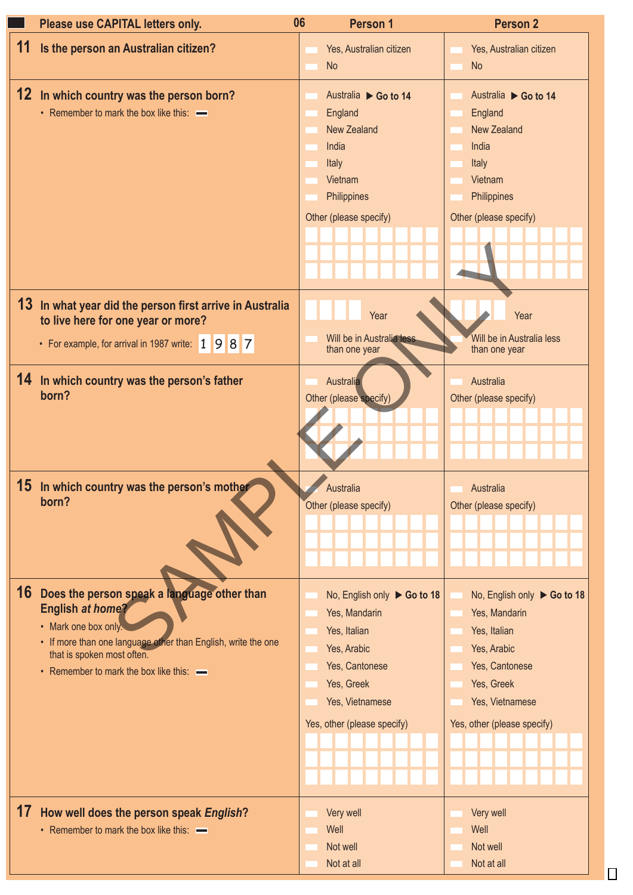| Please use CAPITAL letters only.                                                               | 06<br>Person 1                             | <b>Person 2</b>                            |  |
|------------------------------------------------------------------------------------------------|--------------------------------------------|--------------------------------------------|--|
| 11 Is the person an Australian citizen?                                                        | Yes, Australian citizen                    | Yes, Australian citizen                    |  |
|                                                                                                | No                                         | No                                         |  |
|                                                                                                |                                            |                                            |  |
| 12 In which country was the person born?                                                       | Australia ▶ Go to 14                       | Australia ▶ Go to 14                       |  |
| • Remember to mark the box like this: -                                                        | England                                    | England                                    |  |
|                                                                                                | New Zealand                                | New Zealand                                |  |
|                                                                                                | India                                      | India                                      |  |
|                                                                                                | Italy                                      | Italy                                      |  |
|                                                                                                | Vietnam                                    | Vietnam                                    |  |
|                                                                                                | Philippines                                | Philippines                                |  |
|                                                                                                | Other (please specify)                     | Other (please specify)                     |  |
|                                                                                                |                                            |                                            |  |
|                                                                                                |                                            |                                            |  |
|                                                                                                |                                            |                                            |  |
|                                                                                                |                                            |                                            |  |
|                                                                                                |                                            |                                            |  |
| 13 In what year did the person first arrive in Australia<br>to live here for one year or more? | Year                                       | Year                                       |  |
|                                                                                                |                                            |                                            |  |
| • For example, for arrival in 1987 write: 1 9 8 7                                              | Will be in Australia less<br>than one year | Will be in Australia less<br>than one year |  |
|                                                                                                |                                            |                                            |  |
| 14 In which country was the person's father                                                    | Australia                                  | Australia                                  |  |
| born?                                                                                          | Other (please specify)                     | Other (please specify)                     |  |
|                                                                                                |                                            |                                            |  |
|                                                                                                |                                            |                                            |  |
|                                                                                                |                                            |                                            |  |
|                                                                                                |                                            |                                            |  |
|                                                                                                |                                            |                                            |  |
| 15 In which country was the person's mother                                                    | Australia                                  | Australia                                  |  |
| born?                                                                                          | Other (please specify)                     | Other (please specify)                     |  |
|                                                                                                |                                            |                                            |  |
|                                                                                                |                                            |                                            |  |
|                                                                                                |                                            |                                            |  |
|                                                                                                |                                            |                                            |  |
| 16 Does the person speak a language other than                                                 | No, English only $\triangleright$ Go to 18 | No, English only $\triangleright$ Go to 18 |  |
| <b>English at home?</b>                                                                        | Yes, Mandarin                              | Yes, Mandarin                              |  |
| • Mark one box only.                                                                           | Yes, Italian                               | Yes, Italian                               |  |
| • If more than one language other than English, write the one                                  | Yes, Arabic                                | Yes, Arabic                                |  |
| that is spoken most often.                                                                     |                                            |                                            |  |
| • Remember to mark the box like this: -                                                        | Yes, Cantonese                             | Yes, Cantonese                             |  |
|                                                                                                | Yes, Greek                                 | Yes, Greek                                 |  |
|                                                                                                | Yes, Vietnamese                            | Yes, Vietnamese                            |  |
|                                                                                                | Yes, other (please specify)                | Yes, other (please specify)                |  |
|                                                                                                |                                            |                                            |  |
|                                                                                                |                                            |                                            |  |
|                                                                                                |                                            |                                            |  |
|                                                                                                |                                            |                                            |  |
| 17 How well does the person speak English?                                                     |                                            |                                            |  |
|                                                                                                | Very well                                  | Very well                                  |  |
| • Remember to mark the box like this: -                                                        | Well                                       | Well                                       |  |
|                                                                                                | Not well                                   | Not well                                   |  |
|                                                                                                | Not at all                                 | Not at all                                 |  |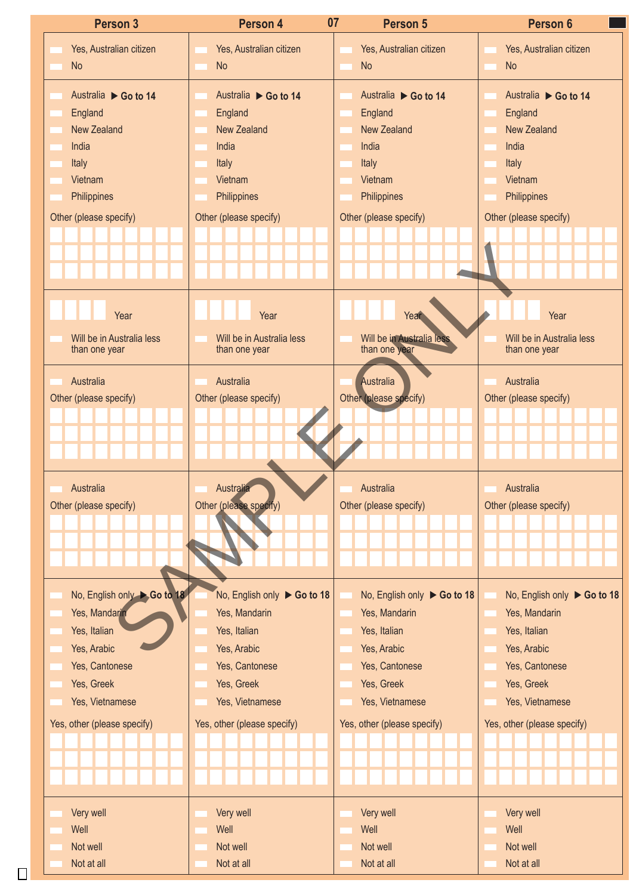| Person 3                    | Person 4                    | 07<br>Person 5                             | Person 6                                     |
|-----------------------------|-----------------------------|--------------------------------------------|----------------------------------------------|
| Yes, Australian citizen     | Yes, Australian citizen     | Yes, Australian citizen                    | Yes, Australian citizen                      |
| No                          | No                          | No                                         | No                                           |
|                             |                             |                                            |                                              |
| Australia ▶ Go to 14        | Australia ▶ Go to 14        | Australia ▶ Go to 14                       | Australia ▶ Go to 14                         |
| England                     | England                     | England                                    | England                                      |
| New Zealand                 | New Zealand                 | New Zealand                                | New Zealand                                  |
| India                       | India                       | India                                      | India                                        |
| Italy                       | Italy                       | Italy                                      | Italy                                        |
| Vietnam                     | Vietnam                     | Vietnam                                    | Vietnam                                      |
| Philippines                 | Philippines                 | Philippines                                | Philippines                                  |
| Other (please specify)      | Other (please specify)      | Other (please specify)                     | Other (please specify)                       |
|                             |                             |                                            |                                              |
|                             |                             |                                            |                                              |
|                             |                             |                                            |                                              |
|                             |                             |                                            |                                              |
|                             |                             |                                            |                                              |
| Year                        | Year                        | Year                                       | Year                                         |
| Will be in Australia less   | Will be in Australia less   |                                            | Will be in Australia less                    |
| than one year               | than one year               | Will be in Australia less<br>than one year | than one year                                |
|                             |                             |                                            |                                              |
| Australia                   | Australia                   | Australia                                  | Australia                                    |
| Other (please specify)      | Other (please specify)      | Other (please specify)                     | Other (please specify)                       |
|                             |                             |                                            |                                              |
|                             |                             |                                            |                                              |
|                             |                             |                                            |                                              |
|                             |                             |                                            |                                              |
|                             |                             |                                            |                                              |
|                             |                             |                                            |                                              |
| Australia                   | Australia                   | Australia                                  | Australia                                    |
| Other (please specify)      | Other (please specify)      | Other (please specify)                     | Other (please specify)                       |
|                             |                             |                                            |                                              |
|                             |                             |                                            |                                              |
|                             |                             |                                            |                                              |
|                             |                             |                                            |                                              |
| No, English only Co to 18   | No, English only ▶ Go to 18 | No, English only $\triangleright$ Go to 18 |                                              |
| Yes, Mandarin               | Yes, Mandarin               | Yes, Mandarin                              | No, English only ▶ Go to 18<br>Yes, Mandarin |
| Yes, Italian                | Yes, Italian                | Yes, Italian                               | Yes, Italian                                 |
| Yes, Arabic                 | Yes, Arabic                 | Yes, Arabic                                | Yes, Arabic                                  |
| Yes, Cantonese              | Yes, Cantonese              | Yes, Cantonese                             | Yes, Cantonese                               |
| Yes, Greek                  | Yes, Greek                  | Yes, Greek                                 | Yes, Greek                                   |
| Yes, Vietnamese             | Yes, Vietnamese             | Yes, Vietnamese                            | Yes, Vietnamese                              |
|                             |                             |                                            |                                              |
| Yes, other (please specify) | Yes, other (please specify) | Yes, other (please specify)                | Yes, other (please specify)                  |
|                             |                             |                                            |                                              |
|                             |                             |                                            |                                              |
|                             |                             |                                            |                                              |
|                             |                             |                                            |                                              |
| Very well                   | Very well                   | Very well                                  | Very well                                    |
| Well                        | Well                        | Well                                       | Well                                         |
| Not well<br>Not at all      | Not well<br>Not at all      | Not well<br>Not at all                     | Not well<br>Not at all                       |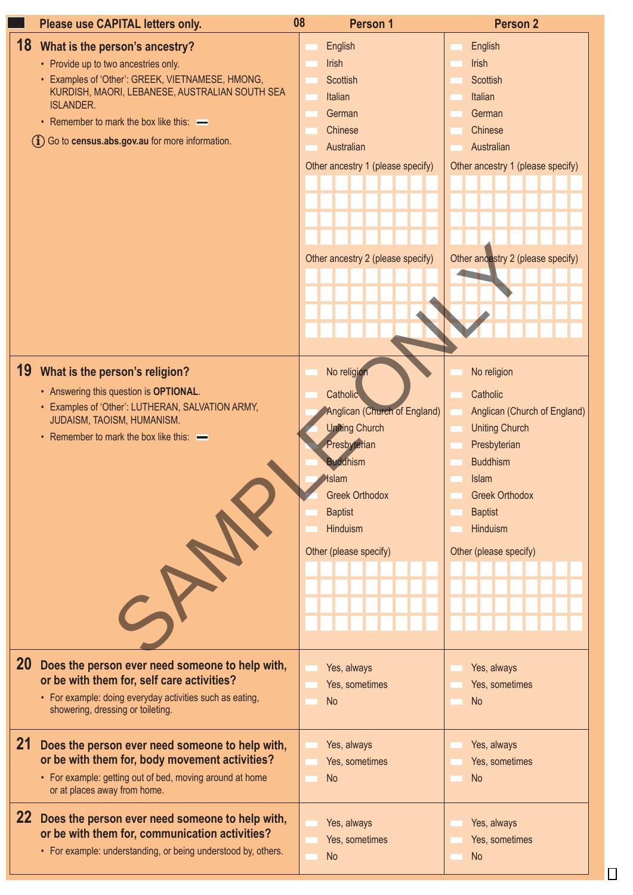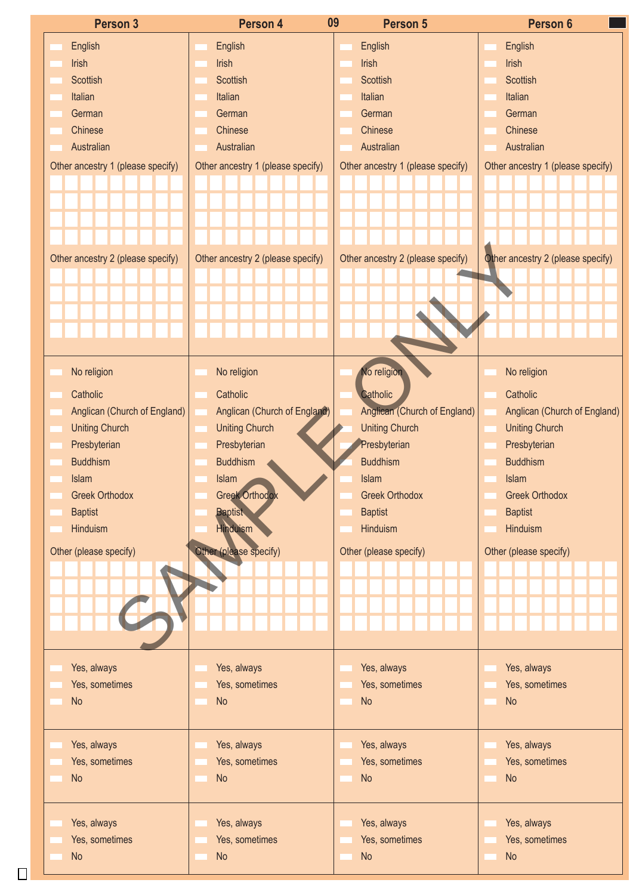| Person 3                          | Person 4                          | 09<br>Person 5                    | Person 6                          |
|-----------------------------------|-----------------------------------|-----------------------------------|-----------------------------------|
| English                           | English                           | English                           | English                           |
| Irish                             | Irish                             | Irish                             | Irish                             |
| Scottish                          | Scottish                          | Scottish                          | Scottish                          |
| Italian                           | Italian                           | Italian                           | Italian                           |
| German                            | German                            | German                            | German                            |
| Chinese                           | Chinese                           | Chinese                           | Chinese                           |
| Australian                        | Australian                        | Australian                        | Australian                        |
|                                   |                                   |                                   |                                   |
| Other ancestry 1 (please specify) | Other ancestry 1 (please specify) | Other ancestry 1 (please specify) | Other ancestry 1 (please specify) |
|                                   |                                   |                                   |                                   |
|                                   |                                   |                                   |                                   |
|                                   |                                   |                                   |                                   |
|                                   |                                   |                                   |                                   |
| Other ancestry 2 (please specify) | Other ancestry 2 (please specify) | Other ancestry 2 (please specify) | Other ancestry 2 (please specify) |
|                                   |                                   |                                   |                                   |
|                                   |                                   |                                   |                                   |
|                                   |                                   |                                   |                                   |
|                                   |                                   |                                   |                                   |
|                                   |                                   |                                   |                                   |
|                                   |                                   |                                   |                                   |
| No religion                       | No religion                       | No religion                       | No religion                       |
| Catholic                          | Catholic                          | Catholic                          | Catholic                          |
| Anglican (Church of England)      | Anglican (Church of England)      | Anglican (Church of England)      | Anglican (Church of England)      |
| <b>Uniting Church</b>             | <b>Uniting Church</b>             | <b>Uniting Church</b>             | <b>Uniting Church</b>             |
| Presbyterian                      | Presbyterian                      | Presbyterian                      | Presbyterian                      |
| <b>Buddhism</b>                   | <b>Buddhism</b>                   | <b>Buddhism</b>                   | <b>Buddhism</b>                   |
| Islam                             | Islam                             | Islam                             | Islam                             |
| <b>Greek Orthodox</b>             | Greek Orthodox<br>V               | <b>Greek Orthodox</b>             | <b>Greek Orthodox</b>             |
|                                   |                                   | <b>Baptist</b>                    | <b>Baptist</b>                    |
| <b>Baptist</b><br>Hinduism        | <b>Baptist</b><br><b>Hinduism</b> | Hinduism                          | Hinduism                          |
|                                   |                                   |                                   |                                   |
| Other (please specify)            | Other (please specify)            | Other (please specify)            | Other (please specify)            |
|                                   |                                   |                                   |                                   |
|                                   |                                   |                                   |                                   |
|                                   |                                   |                                   |                                   |
|                                   |                                   |                                   |                                   |
|                                   |                                   |                                   |                                   |
|                                   |                                   |                                   |                                   |
| Yes, always                       | Yes, always                       | Yes, always                       | Yes, always                       |
| Yes, sometimes                    | Yes, sometimes                    | Yes, sometimes                    | Yes, sometimes                    |
| No                                | <b>No</b>                         | No                                | No                                |
|                                   |                                   |                                   |                                   |
|                                   |                                   |                                   |                                   |
| Yes, always                       | Yes, always                       | Yes, always                       | Yes, always                       |
| Yes, sometimes                    | Yes, sometimes                    | Yes, sometimes                    | Yes, sometimes                    |
| No                                | <b>No</b>                         | No                                | No                                |
|                                   |                                   |                                   |                                   |
| Yes, always                       | Yes, always                       | Yes, always                       | Yes, always                       |
| Yes, sometimes                    | Yes, sometimes                    | Yes, sometimes                    | Yes, sometimes                    |
| No                                | <b>No</b>                         | No                                | No                                |
|                                   |                                   |                                   |                                   |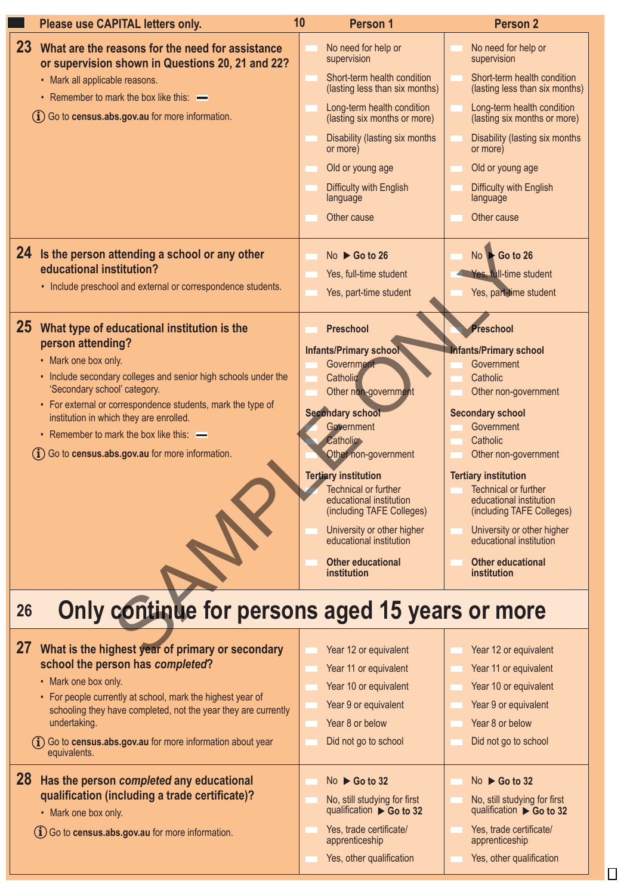| Please use CAPITAL letters only.                                                                                                                                                                                                                                                                                                                                                                        | 10 <sup>°</sup><br><b>Person 1</b>                                                                                                                                                                                                                                                                                                                                                    | <b>Person 2</b>                                                                                                                                                                                                                                                                                                                                                                              |
|---------------------------------------------------------------------------------------------------------------------------------------------------------------------------------------------------------------------------------------------------------------------------------------------------------------------------------------------------------------------------------------------------------|---------------------------------------------------------------------------------------------------------------------------------------------------------------------------------------------------------------------------------------------------------------------------------------------------------------------------------------------------------------------------------------|----------------------------------------------------------------------------------------------------------------------------------------------------------------------------------------------------------------------------------------------------------------------------------------------------------------------------------------------------------------------------------------------|
| <b>23</b><br>What are the reasons for the need for assistance<br>or supervision shown in Questions 20, 21 and 22?<br>• Mark all applicable reasons.<br>• Remember to mark the box like this: —<br>(i) Go to census.abs.gov.au for more information.                                                                                                                                                     | No need for help or<br>supervision<br>Short-term health condition<br>(lasting less than six months)<br>Long-term health condition<br>(lasting six months or more)<br>Disability (lasting six months<br>or more)<br>Old or young age<br>Difficulty with English<br>language<br>Other cause                                                                                             | No need for help or<br>supervision<br>Short-term health condition<br>(lasting less than six months)<br>Long-term health condition<br>(lasting six months or more)<br>Disability (lasting six months<br>or more)<br>Old or young age<br>Difficulty with English<br>language<br>Other cause                                                                                                    |
| 24 Is the person attending a school or any other<br>educational institution?<br>• Include preschool and external or correspondence students.                                                                                                                                                                                                                                                            | No $\triangleright$ Go to 26<br>Yes, full-time student<br>Yes, part-time student                                                                                                                                                                                                                                                                                                      | $No \rightarrow Go$ to 26<br>Yes, full-time student<br>Yes, part-time student                                                                                                                                                                                                                                                                                                                |
| 25 What type of educational institution is the<br>person attending?<br>• Mark one box only.<br>• Include secondary colleges and senior high schools under the<br>'Secondary school' category.<br>• For external or correspondence students, mark the type of<br>institution in which they are enrolled.<br>• Remember to mark the box like this: —<br>(i) Go to census.abs.gov.au for more information. | Preschool<br>Infants/Primary school<br>Government<br>Catholic<br>Other non-government<br>Secondary school<br>Government<br><b>Catholic</b><br>Other non-government<br><b>Tertiary institution</b><br>Technical or further<br>educational institution<br>(including TAFE Colleges)<br>University or other higher<br>educational institution<br><b>Other educational</b><br>institution | Preschool<br><b>Infants/Primary school</b><br>Government<br>Catholic<br>Other non-government<br><b>Secondary school</b><br>Government<br>Catholic<br>Other non-government<br><b>Tertiary institution</b><br>Technical or further<br>educational institution<br>(including TAFE Colleges)<br>University or other higher<br>educational institution<br><b>Other educational</b><br>institution |
| Only continue for persons aged 15 years or more<br>26<br>27 What is the highest year of primary or secondary<br>school the person has completed?<br>• Mark one box only.<br>• For people currently at school, mark the highest year of<br>schooling they have completed, not the year they are currently<br>undertaking.                                                                                | Year 12 or equivalent<br>Year 11 or equivalent<br>Year 10 or equivalent<br>Year 9 or equivalent<br>Year 8 or below                                                                                                                                                                                                                                                                    | Year 12 or equivalent<br>Year 11 or equivalent<br>Year 10 or equivalent<br>Year 9 or equivalent<br>Year 8 or below                                                                                                                                                                                                                                                                           |
| (i) Go to census.abs.gov.au for more information about year<br>equivalents.<br>28 Has the person completed any educational<br>qualification (including a trade certificate)?<br>• Mark one box only.<br>(i) Go to census.abs.gov.au for more information.                                                                                                                                               | Did not go to school<br>$No \triangleright Go$ to 32<br>No, still studying for first<br>qualification ▶ Go to 32<br>Yes, trade certificate/                                                                                                                                                                                                                                           | Did not go to school<br>No $\triangleright$ Go to 32<br>No, still studying for first<br>qualification $\triangleright$ Go to 32<br>Yes, trade certificate/                                                                                                                                                                                                                                   |
|                                                                                                                                                                                                                                                                                                                                                                                                         | apprenticeship<br>Yes, other qualification                                                                                                                                                                                                                                                                                                                                            | apprenticeship<br>Yes, other qualification                                                                                                                                                                                                                                                                                                                                                   |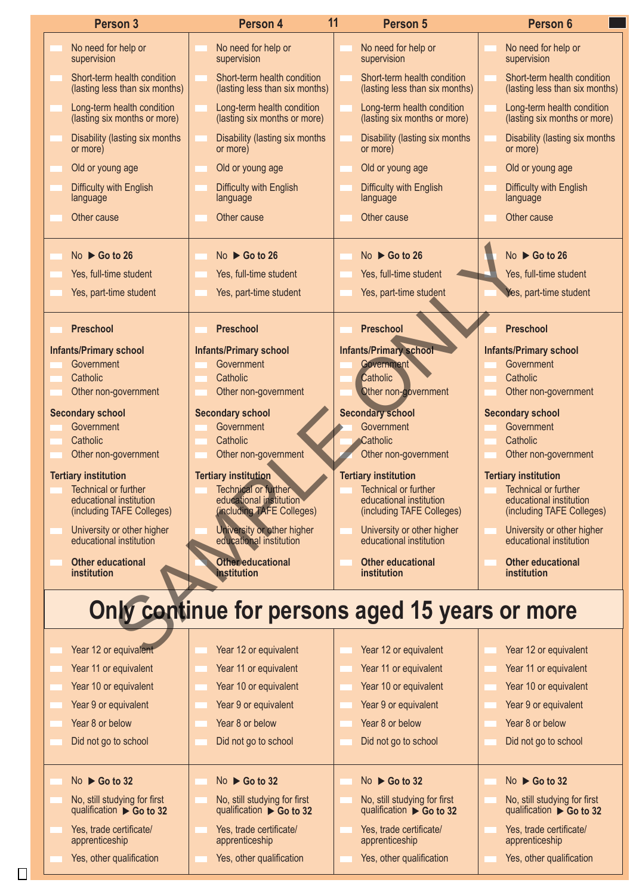| <b>Person 3</b>                                                         | Person 4                                                                | 11<br><b>Person 5</b>                                                              | Person 6                                                      |
|-------------------------------------------------------------------------|-------------------------------------------------------------------------|------------------------------------------------------------------------------------|---------------------------------------------------------------|
| No need for help or<br>supervision                                      | No need for help or<br>supervision                                      | No need for help or<br>supervision                                                 | No need for help or<br>supervision                            |
| Short-term health condition<br>(lasting less than six months)           | Short-term health condition<br>(lasting less than six months)           | Short-term health condition<br>(lasting less than six months)                      | Short-term health condition<br>(lasting less than six months) |
| Long-term health condition<br>(lasting six months or more)              | Long-term health condition<br>(lasting six months or more)              | Long-term health condition<br>(lasting six months or more)                         | Long-term health condition<br>(lasting six months or more)    |
| Disability (lasting six months<br>or more)                              | Disability (lasting six months)<br>or more)                             | Disability (lasting six months<br>or more)                                         | Disability (lasting six months<br>or more)                    |
| Old or young age                                                        | Old or young age                                                        | Old or young age                                                                   | Old or young age                                              |
| Difficulty with English<br>language                                     | Difficulty with English<br>language                                     | Difficulty with English<br>language                                                | Difficulty with English<br>language                           |
| Other cause                                                             | Other cause                                                             | Other cause                                                                        | Other cause                                                   |
| $No \triangleright Go$ to 26                                            | No $\triangleright$ Go to 26                                            | No $\triangleright$ Go to 26                                                       | No $\triangleright$ Go to 26                                  |
| Yes, full-time student                                                  | Yes, full-time student                                                  | Yes, full-time student                                                             | Yes, full-time student                                        |
| Yes, part-time student                                                  | Yes, part-time student                                                  | Yes, part-time student                                                             | Yes, part-time student                                        |
| Preschool                                                               | <b>Preschool</b>                                                        | Preschool                                                                          | Preschool                                                     |
| <b>Infants/Primary school</b>                                           | <b>Infants/Primary school</b>                                           | <b>Infants/Primary school</b>                                                      | <b>Infants/Primary school</b>                                 |
| Government<br>Catholic                                                  | Government<br>Catholic                                                  | Governme<br>Catholic                                                               | Government<br>Catholic                                        |
| Other non-government                                                    | Other non-government                                                    | Other non-government                                                               | Other non-government                                          |
| <b>Secondary school</b>                                                 | <b>Secondary school</b>                                                 | <b>Secondary school</b>                                                            | <b>Secondary school</b>                                       |
| Government                                                              | Government                                                              | Government                                                                         | Government                                                    |
| Catholic                                                                | Catholic                                                                | <b>Catholic</b>                                                                    | Catholic                                                      |
| Other non-government                                                    | Other non-government                                                    | Other non-government                                                               | Other non-government                                          |
| <b>Tertiary institution</b><br>Technical or further                     | <b>Tertiary institution</b><br>Technical or further                     | <b>Tertiary institution</b><br>Technical or further                                | <b>Tertiary institution</b><br>Technical or further           |
| educational institution                                                 | educational institution<br>(including TAFE Colleges)                    | educational institution                                                            | educational institution                                       |
| (including TAFE Colleges)<br>University or other higher                 | University or other higher                                              | (including TAFE Colleges)<br>University or other higher<br>educational institution | (including TAFE Colleges)<br>University or other higher       |
| educational institution<br><b>Other educational</b>                     | educational institution<br><b>Other educational</b>                     | <b>Other educational</b>                                                           | educational institution<br><b>Other educational</b>           |
| institution                                                             | <b>Institution</b>                                                      | institution<br>Only continue for persons aged 15 years or more                     | institution                                                   |
| Year 12 or equivalent                                                   | Year 12 or equivalent                                                   | Year 12 or equivalent                                                              | Year 12 or equivalent                                         |
| Year 11 or equivalent                                                   | Year 11 or equivalent                                                   | Year 11 or equivalent                                                              | Year 11 or equivalent                                         |
| Year 10 or equivalent                                                   | Year 10 or equivalent                                                   | Year 10 or equivalent                                                              | Year 10 or equivalent                                         |
| Year 9 or equivalent                                                    | Year 9 or equivalent                                                    | Year 9 or equivalent                                                               | Year 9 or equivalent                                          |
| Year 8 or below                                                         | Year 8 or below                                                         | Year 8 or below                                                                    | Year 8 or below                                               |
| Did not go to school                                                    | Did not go to school                                                    | Did not go to school                                                               | Did not go to school                                          |
| $No \triangleright Go$ to 32                                            | $No \triangleright Go$ to 32                                            | $No \triangleright Go$ to 32                                                       | $No \triangleright Go$ to 32                                  |
| No, still studying for first<br>qualification $\triangleright$ Go to 32 | No, still studying for first<br>qualification $\triangleright$ Go to 32 | No, still studying for first<br>qualification $\triangleright$ Go to 32            | No, still studying for first<br>qualification ▶ Go to 32      |
| Yes, trade certificate/<br>apprenticeship                               | Yes, trade certificate/<br>apprenticeship                               | Yes, trade certificate/<br>apprenticeship                                          | Yes, trade certificate/<br>apprenticeship                     |
|                                                                         |                                                                         |                                                                                    |                                                               |
| Yes, other qualification                                                | Yes, other qualification                                                | Yes, other qualification                                                           | Yes, other qualification                                      |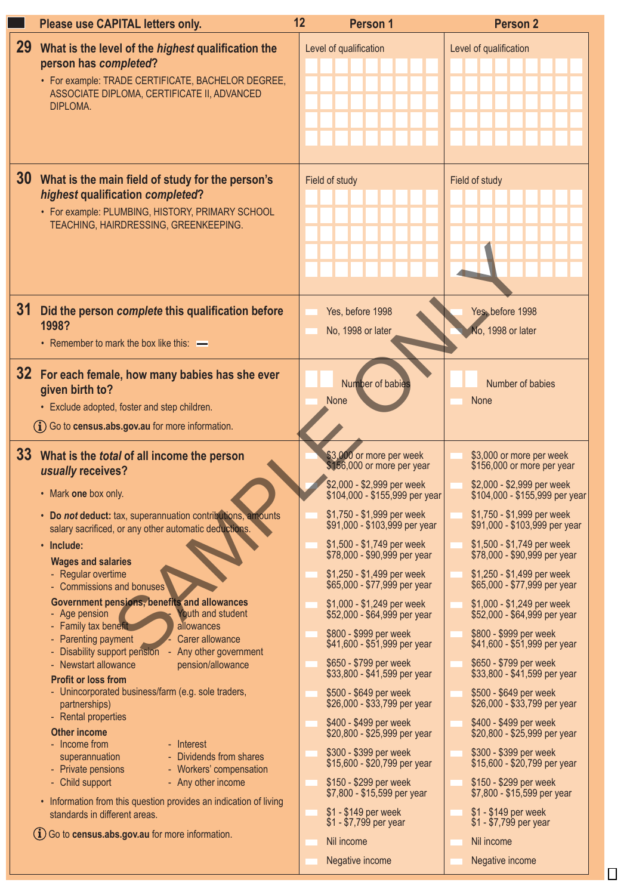|                 | Please use CAPITAL letters only.                                                                                                                                                                                                                                                                                                                                                                                                                                                                                                                                                                                                                                                                                                                                                                                               | 12 | <b>Person 1</b>                                                                                                                                                                                                                                                                                                                                                                                                                                                                                                                                                                   | <b>Person 2</b>                                                                                                                                                                                                                                                                                                                                                                                                                                                                                                                                                                   |
|-----------------|--------------------------------------------------------------------------------------------------------------------------------------------------------------------------------------------------------------------------------------------------------------------------------------------------------------------------------------------------------------------------------------------------------------------------------------------------------------------------------------------------------------------------------------------------------------------------------------------------------------------------------------------------------------------------------------------------------------------------------------------------------------------------------------------------------------------------------|----|-----------------------------------------------------------------------------------------------------------------------------------------------------------------------------------------------------------------------------------------------------------------------------------------------------------------------------------------------------------------------------------------------------------------------------------------------------------------------------------------------------------------------------------------------------------------------------------|-----------------------------------------------------------------------------------------------------------------------------------------------------------------------------------------------------------------------------------------------------------------------------------------------------------------------------------------------------------------------------------------------------------------------------------------------------------------------------------------------------------------------------------------------------------------------------------|
| 29 <sup>°</sup> | What is the level of the <i>highest</i> qualification the<br>person has completed?<br>• For example: TRADE CERTIFICATE, BACHELOR DEGREE,<br>ASSOCIATE DIPLOMA, CERTIFICATE II, ADVANCED<br>DIPLOMA.                                                                                                                                                                                                                                                                                                                                                                                                                                                                                                                                                                                                                            |    | Level of qualification                                                                                                                                                                                                                                                                                                                                                                                                                                                                                                                                                            | Level of qualification                                                                                                                                                                                                                                                                                                                                                                                                                                                                                                                                                            |
|                 | 30 What is the main field of study for the person's<br>highest qualification completed?<br>• For example: PLUMBING, HISTORY, PRIMARY SCHOOL<br>TEACHING, HAIRDRESSING, GREENKEEPING.                                                                                                                                                                                                                                                                                                                                                                                                                                                                                                                                                                                                                                           |    | Field of study                                                                                                                                                                                                                                                                                                                                                                                                                                                                                                                                                                    | Field of study                                                                                                                                                                                                                                                                                                                                                                                                                                                                                                                                                                    |
| 31              | Did the person complete this qualification before<br>1998?<br>• Remember to mark the box like this: -                                                                                                                                                                                                                                                                                                                                                                                                                                                                                                                                                                                                                                                                                                                          |    | Yes, before 1998<br>No, 1998 or later                                                                                                                                                                                                                                                                                                                                                                                                                                                                                                                                             | Yes, before 1998<br>No, 1998 or later                                                                                                                                                                                                                                                                                                                                                                                                                                                                                                                                             |
|                 | 32 For each female, how many babies has she ever<br>given birth to?<br>• Exclude adopted, foster and step children.<br>(i) Go to census.abs.gov.au for more information.                                                                                                                                                                                                                                                                                                                                                                                                                                                                                                                                                                                                                                                       |    | Number of babies<br><b>None</b>                                                                                                                                                                                                                                                                                                                                                                                                                                                                                                                                                   | Number of babies<br>None                                                                                                                                                                                                                                                                                                                                                                                                                                                                                                                                                          |
|                 | 33 What is the total of all income the person<br>usually receives?<br>• Mark one box only.                                                                                                                                                                                                                                                                                                                                                                                                                                                                                                                                                                                                                                                                                                                                     |    | \$3,000 or more per week<br>\$156,000 or more per year<br>\$2,000 - \$2,999 per week<br>\$104,000 - \$155,999 per year                                                                                                                                                                                                                                                                                                                                                                                                                                                            | \$3,000 or more per week<br>\$156,000 or more per year<br>\$2,000 - \$2,999 per week<br>\$104,000 - \$155,999 per year                                                                                                                                                                                                                                                                                                                                                                                                                                                            |
|                 | • Do not deduct: tax, superannuation contributions, amounts<br>salary sacrificed, or any other automatic deductions.<br>$\cdot$ Include:<br><b>Wages and salaries</b><br>- Regular overtime<br>- Commissions and bonuses<br>Government pensions, benefits and allowances<br>- Age pension<br>Youth and student<br>- Family tax benefit<br>allowances<br>- Parenting payment<br>Carer allowance<br>- Disability support pension<br>- Any other government<br>- Newstart allowance<br>pension/allowance<br><b>Profit or loss from</b><br>- Unincorporated business/farm (e.g. sole traders,<br>partnerships)<br>- Rental properties<br><b>Other income</b><br>- Income from<br>- Interest<br>- Dividends from shares<br>superannuation<br>- Private pensions<br>- Workers' compensation<br>- Child support<br>- Any other income |    | \$1,750 - \$1,999 per week<br>\$91,000 - \$103,999 per year<br>\$1,500 - \$1,749 per week<br>\$78,000 - \$90,999 per year<br>\$1,250 - \$1,499 per week<br>\$65,000 - \$77,999 per year<br>\$1,000 - \$1,249 per week<br>\$52,000 - \$64,999 per year<br>\$800 - \$999 per week<br>\$41,600 - \$51,999 per year<br>\$650 - \$799 per week<br>\$33,800 - \$41,599 per year<br>\$500 - \$649 per week<br>\$26,000 - \$33,799 per year<br>\$400 - \$499 per week<br>\$20,800 - \$25,999 per year<br>\$300 - \$399 per week<br>\$15,600 - \$20,799 per year<br>\$150 - \$299 per week | \$1,750 - \$1,999 per week<br>\$91,000 - \$103,999 per year<br>\$1,500 - \$1,749 per week<br>\$78,000 - \$90,999 per year<br>\$1,250 - \$1,499 per week<br>\$65,000 - \$77,999 per year<br>\$1,000 - \$1,249 per week<br>\$52,000 - \$64,999 per year<br>\$800 - \$999 per week<br>\$41,600 - \$51,999 per year<br>\$650 - \$799 per week<br>\$33,800 - \$41,599 per year<br>\$500 - \$649 per week<br>\$26,000 - \$33,799 per year<br>\$400 - \$499 per week<br>\$20,800 - \$25,999 per year<br>\$300 - \$399 per week<br>\$15,600 - \$20,799 per year<br>\$150 - \$299 per week |
|                 | • Information from this question provides an indication of living<br>standards in different areas.<br>$(i)$ Go to census.abs.gov.au for more information.                                                                                                                                                                                                                                                                                                                                                                                                                                                                                                                                                                                                                                                                      |    | \$7,800 - \$15,599 per year<br>\$1 - \$149 per week<br>\$1 - \$7,799 per year<br>Nil income<br>Negative income                                                                                                                                                                                                                                                                                                                                                                                                                                                                    | \$7,800 - \$15,599 per year<br>\$1 - \$149 per week<br>\$1 - \$7,799 per year<br>Nil income<br>Negative income                                                                                                                                                                                                                                                                                                                                                                                                                                                                    |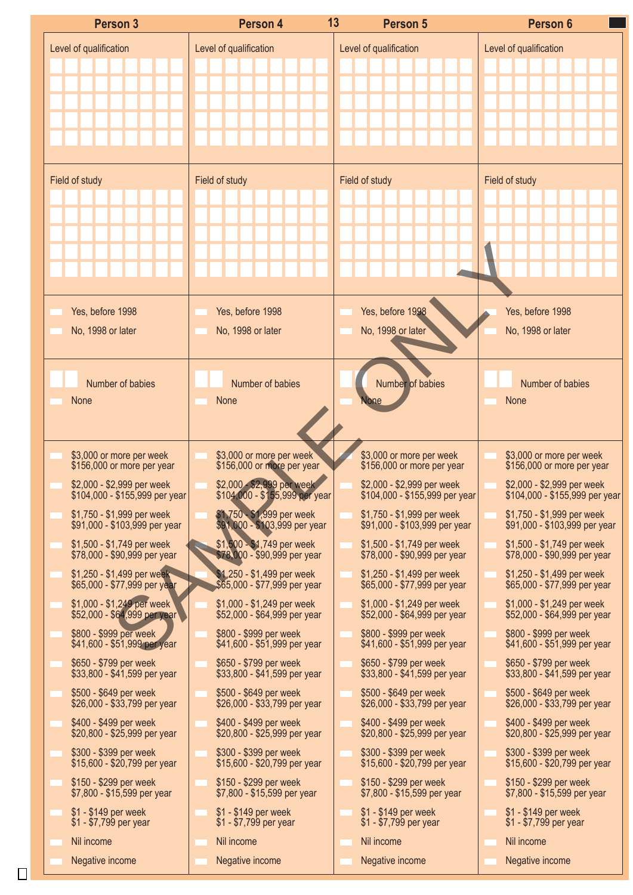| Level of qualification<br>Level of qualification<br>Level of qualification<br>Field of study<br>Field of study<br>Field of study<br>Yes, before 1998<br>Yes, before 1998<br>Yes, before 1998<br>No, 1998 or later<br>No, 1998 or later<br>No, 1998 or later | Level of qualification<br>Field of study<br>Yes, before 1998               |
|-------------------------------------------------------------------------------------------------------------------------------------------------------------------------------------------------------------------------------------------------------------|----------------------------------------------------------------------------|
|                                                                                                                                                                                                                                                             |                                                                            |
|                                                                                                                                                                                                                                                             |                                                                            |
|                                                                                                                                                                                                                                                             |                                                                            |
|                                                                                                                                                                                                                                                             |                                                                            |
|                                                                                                                                                                                                                                                             |                                                                            |
|                                                                                                                                                                                                                                                             |                                                                            |
|                                                                                                                                                                                                                                                             |                                                                            |
|                                                                                                                                                                                                                                                             |                                                                            |
|                                                                                                                                                                                                                                                             |                                                                            |
|                                                                                                                                                                                                                                                             |                                                                            |
|                                                                                                                                                                                                                                                             |                                                                            |
|                                                                                                                                                                                                                                                             |                                                                            |
|                                                                                                                                                                                                                                                             |                                                                            |
|                                                                                                                                                                                                                                                             | No, 1998 or later                                                          |
|                                                                                                                                                                                                                                                             |                                                                            |
|                                                                                                                                                                                                                                                             |                                                                            |
| Number of babies<br>Number of babies<br>Number of babies                                                                                                                                                                                                    | Number of babies<br>None                                                   |
| None<br>None                                                                                                                                                                                                                                                |                                                                            |
|                                                                                                                                                                                                                                                             |                                                                            |
| \$3,000 or more per week<br>\$156,000 or more per year<br>\$3,000 or more per week<br>\$156,000 or more per year<br>\$3,000 or more per week<br>\$156,000 or more per year                                                                                  | \$3,000 or more per week                                                   |
| \$2,000 - \$2,999 per week<br>\$2,000 - \$2,999 per week                                                                                                                                                                                                    | \$156,000 or more per year<br>\$2,000 - \$2,999 per week                   |
| \$2,000 - \$2,999 per week<br>\$104,000 - \$155,999 per year<br>\$104,000 - \$155,999 per year<br>\$104,000 - \$155,999 per year                                                                                                                            | \$104,000 - \$155,999 per year                                             |
| \$1,750 - \$1,999 per week<br>\$91,000 - \$103,999 per year<br>\$1,750 - \$1,999 per week<br>\$1,750 - \$1,999 per week<br>\$91,000 - \$103,999 per year<br>\$91,000 - \$103,999 per year                                                                   | \$1,750 - \$1,999 per week<br>$$91,000 - $103,999$ per year                |
| \$1,500 - \$1,749 per week<br>\$78,000 - \$90,999 per year<br>\$1,500 - \$1,749 per week<br>\$1,500 - \$1,749 per week                                                                                                                                      | \$1,500 - \$1,749 per week                                                 |
| \$78,000 - \$90,999 per year<br>\$78,000 - \$90,999 per year<br>\$1,250 - \$1,499 per week<br>\$1,250 - \$1,499 per week<br>\$1,250 - \$1,499 per week                                                                                                      | \$78,000 - \$90,999 per year<br>\$1,250 - \$1,499 per week                 |
| \$65,000 - \$77,999 per year<br>\$65,000 - \$77,999 per year<br>\$65,000 - \$77,999 per year                                                                                                                                                                | \$65,000 - \$77,999 per year                                               |
| $$1,000 - $1,249$ per week<br>\$52,000 - \$64,999 per year<br>\$1,000 - \$1,249 per week<br>\$1,000 - \$1,249 per week<br>$$52,000 - $64,999$ per year<br>\$52,000 - \$64,999 per year                                                                      | \$1,000 - \$1,249 per week<br>\$52,000 - \$64,999 per year                 |
| \$800 - \$999 per week<br>\$800 - \$999 per week<br>\$800 - \$999 per week<br>\$41,600 - \$51,999 per year<br>\$41,600 - \$51,999 per year<br>\$41,600 - \$51,999 per year                                                                                  | \$800 - \$999 per week<br>\$41,600 - \$51,999 per year                     |
| \$650 - \$799 per week<br>\$650 - \$799 per week<br>\$650 - \$799 per week<br>\$33,800 - \$41,599 per year<br>\$33,800 - \$41,599 per year<br>\$33,800 - \$41,599 per year                                                                                  | \$650 - \$799 per week<br>\$33,800 - \$41,599 per year                     |
| \$500 - \$649 per week<br>\$500 - \$649 per week<br>\$500 - \$649 per week                                                                                                                                                                                  | \$500 - \$649 per week                                                     |
| \$26,000 - \$33,799 per year<br>\$26,000 - \$33,799 per year<br>\$26,000 - \$33,799 per year                                                                                                                                                                |                                                                            |
| \$400 - \$499 per week<br>\$400 - \$499 per week<br>\$400 - \$499 per week                                                                                                                                                                                  | \$26,000 - \$33,799 per year<br>\$400 - \$499 per week                     |
| \$20,800 - \$25,999 per year<br>\$20,800 - \$25,999 per year<br>\$20,800 - \$25,999 per year                                                                                                                                                                |                                                                            |
| \$300 - \$399 per week<br>\$300 - \$399 per week<br>\$300 - \$399 per week<br>$$15,600 - $20,799$ per year<br>\$15,600 - \$20,799 per year<br>\$15,600 - \$20,799 per year                                                                                  | \$300 - \$399 per week                                                     |
| \$150 - \$299 per week<br>\$150 - \$299 per week<br>\$150 - \$299 per week<br>\$7,800 - \$15,599 per year<br>\$7,800 - \$15,599 per year<br>\$7,800 - \$15,599 per year                                                                                     | \$150 - \$299 per week<br>\$7,800 - \$15,599 per year                      |
| \$1 - \$149 per week<br>\$1 - \$149 per week<br>$$1 - $149$ per week<br>\$1 - \$7,799 per year<br>\$1 - \$7,799 per year<br>\$1 - \$7,799 per year                                                                                                          | \$1 - \$149 per week<br>\$1 - \$7,799 per year                             |
| Nil income<br>Nil income<br>Nil income                                                                                                                                                                                                                      | \$20,800 - \$25,999 per year<br>\$15,600 - \$20,799 per year<br>Nil income |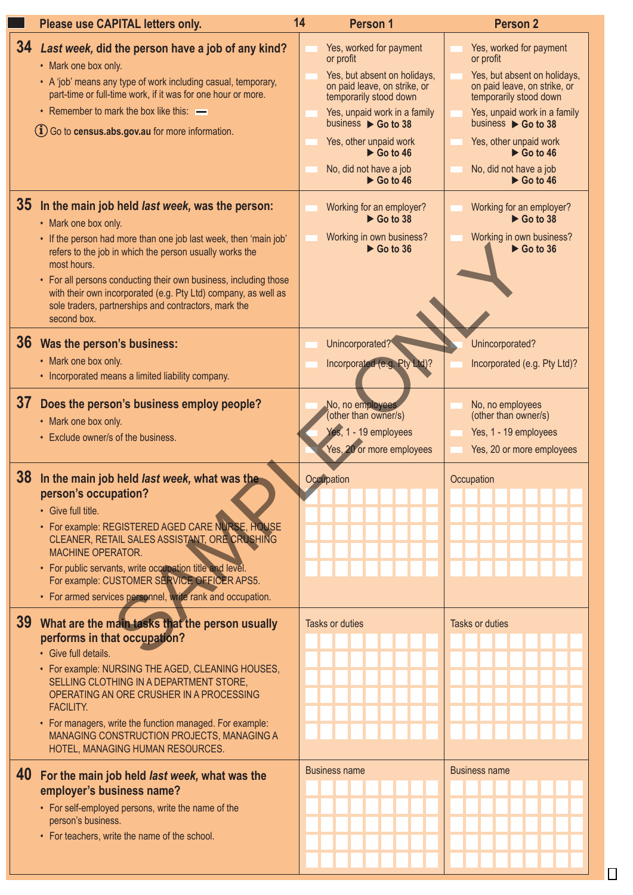|                 | Please use CAPITAL letters only.                                                                                                                                                                                                                                                                                                                                                                                                   | 14                     | Person 1                                                                                                                                                                                                                                                                                                           | <b>Person 2</b>                                                                                                                                                                                                                                                                                     |
|-----------------|------------------------------------------------------------------------------------------------------------------------------------------------------------------------------------------------------------------------------------------------------------------------------------------------------------------------------------------------------------------------------------------------------------------------------------|------------------------|--------------------------------------------------------------------------------------------------------------------------------------------------------------------------------------------------------------------------------------------------------------------------------------------------------------------|-----------------------------------------------------------------------------------------------------------------------------------------------------------------------------------------------------------------------------------------------------------------------------------------------------|
| 34              | Last week, did the person have a job of any kind?<br>• Mark one box only.<br>• A 'job' means any type of work including casual, temporary,<br>part-time or full-time work, if it was for one hour or more.<br>• Remember to mark the box like this: -<br>$(i)$ Go to census.abs.gov.au for more information.                                                                                                                       |                        | Yes, worked for payment<br>or profit<br>Yes, but absent on holidays,<br>on paid leave, on strike, or<br>temporarily stood down<br>Yes, unpaid work in a family<br>business $\triangleright$ Go to 38<br>Yes, other unpaid work<br>$\triangleright$ Go to 46<br>No, did not have a job<br>$\triangleright$ Go to 46 | Yes, worked for payment<br>or profit<br>Yes, but absent on holidays,<br>on paid leave, on strike, or<br>temporarily stood down<br>Yes, unpaid work in a family<br>business ▶ Go to 38<br>Yes, other unpaid work<br>$\triangleright$ Go to 46<br>No, did not have a job<br>$\triangleright$ Go to 46 |
| 35 <sub>1</sub> | In the main job held last week, was the person:<br>• Mark one box only.<br>• If the person had more than one job last week, then 'main job'<br>refers to the job in which the person usually works the<br>most hours.<br>• For all persons conducting their own business, including those<br>with their own incorporated (e.g. Pty Ltd) company, as well as<br>sole traders, partnerships and contractors, mark the<br>second box. |                        | Working for an employer?<br>$\triangleright$ Go to 38<br>Working in own business?<br>$\triangleright$ Go to 36                                                                                                                                                                                                     | Working for an employer?<br>$\triangleright$ Go to 38<br>Working in own business?<br>$\triangleright$ Go to 36                                                                                                                                                                                      |
|                 | 36 Was the person's business:<br>• Mark one box only.<br>• Incorporated means a limited liability company.                                                                                                                                                                                                                                                                                                                         |                        | Unincorporated?<br>Incorporated (e.g. Pty Ltd)?                                                                                                                                                                                                                                                                    | Unincorporated?<br>Incorporated (e.g. Pty Ltd)?                                                                                                                                                                                                                                                     |
| 37              | Does the person's business employ people?<br>• Mark one box only.<br>• Exclude owner/s of the business.                                                                                                                                                                                                                                                                                                                            |                        | No, no employees<br>(other than owner/s)<br>Yes, 1 - 19 employees<br>Yes, 20 or more employees                                                                                                                                                                                                                     | No, no employees<br>(other than owner/s)<br>Yes, 1 - 19 employees<br>Yes, 20 or more employees                                                                                                                                                                                                      |
|                 | 38 In the main job held last week, what was the<br>person's occupation?<br>• Give full title.<br>• For example: REGISTERED AGED CARE NURSE, HOUSE<br>CLEANER, RETAIL SALES ASSISTANT, ORE CRUSHING<br><b>MACHINE OPERATOR.</b><br>• For public servants, write occupation title and level.<br>For example: CUSTOMER SERVICE OFFICER APS5.<br>• For armed services personnel, write rank and occupation.                            | Occupation             |                                                                                                                                                                                                                                                                                                                    | Occupation                                                                                                                                                                                                                                                                                          |
| 39              | What are the main tasks that the person usually<br>performs in that occupation?<br>• Give full details.<br>• For example: NURSING THE AGED, CLEANING HOUSES,<br>SELLING CLOTHING IN A DEPARTMENT STORE,<br>OPERATING AN ORE CRUSHER IN A PROCESSING<br><b>FACILITY.</b><br>• For managers, write the function managed. For example:<br>MANAGING CONSTRUCTION PROJECTS, MANAGING A<br>HOTEL, MANAGING HUMAN RESOURCES.              | <b>Tasks or duties</b> |                                                                                                                                                                                                                                                                                                                    | Tasks or duties                                                                                                                                                                                                                                                                                     |
|                 | 40 For the main job held last week, what was the<br>employer's business name?<br>• For self-employed persons, write the name of the<br>person's business.<br>• For teachers, write the name of the school.                                                                                                                                                                                                                         | <b>Business name</b>   |                                                                                                                                                                                                                                                                                                                    | <b>Business name</b>                                                                                                                                                                                                                                                                                |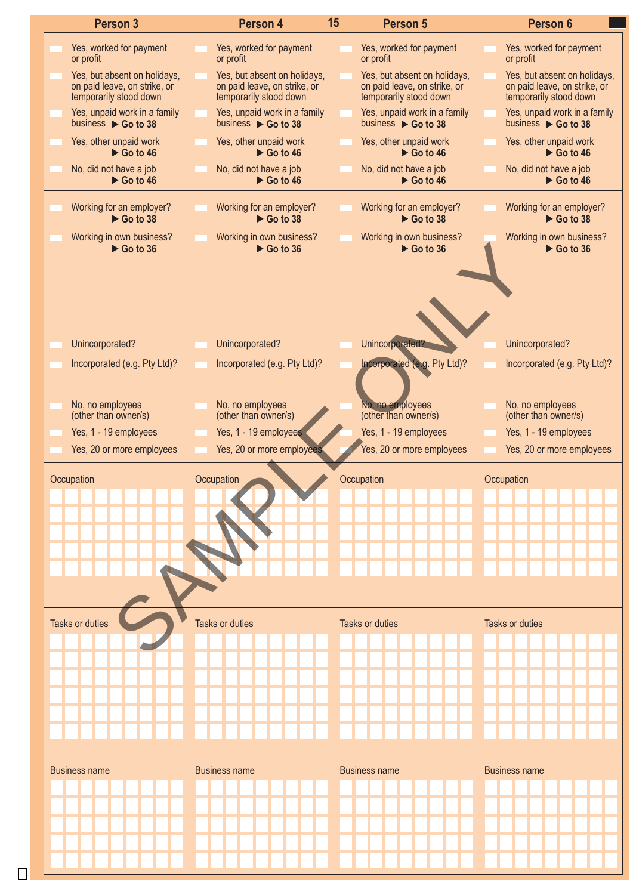| Person 3                                                                               | Person 4                                                                               | 15<br>Person 5                                                                         | Person 6                                                                               |
|----------------------------------------------------------------------------------------|----------------------------------------------------------------------------------------|----------------------------------------------------------------------------------------|----------------------------------------------------------------------------------------|
| Yes, worked for payment<br>or profit                                                   | Yes, worked for payment<br>or profit                                                   | Yes, worked for payment<br>or profit                                                   | Yes, worked for payment<br>or profit                                                   |
| Yes, but absent on holidays,<br>on paid leave, on strike, or<br>temporarily stood down | Yes, but absent on holidays,<br>on paid leave, on strike, or<br>temporarily stood down | Yes, but absent on holidays,<br>on paid leave, on strike, or<br>temporarily stood down | Yes, but absent on holidays,<br>on paid leave, on strike, or<br>temporarily stood down |
| Yes, unpaid work in a family<br>business $\triangleright$ Go to 38                     | Yes, unpaid work in a family<br>business $\triangleright$ Go to 38                     | Yes, unpaid work in a family<br>business ▶ Go to 38                                    | Yes, unpaid work in a family<br>business $\triangleright$ Go to 38                     |
| Yes, other unpaid work<br>$\triangleright$ Go to 46                                    | Yes, other unpaid work<br>$\triangleright$ Go to 46                                    | Yes, other unpaid work<br>$\triangleright$ Go to 46                                    | Yes, other unpaid work<br>$\triangleright$ Go to 46                                    |
| No, did not have a job<br>$\triangleright$ Go to 46                                    | No, did not have a job<br>$\triangleright$ Go to 46                                    | No, did not have a job<br>$\triangleright$ Go to 46                                    | No, did not have a job<br>$\triangleright$ Go to 46                                    |
| Working for an employer?<br>$\triangleright$ Go to 38                                  | Working for an employer?<br>$\triangleright$ Go to 38                                  | Working for an employer?<br>$\triangleright$ Go to 38                                  | Working for an employer?<br>$\triangleright$ Go to 38                                  |
| Working in own business?<br>$\triangleright$ Go to 36                                  | Working in own business?<br>$\triangleright$ Go to 36                                  | Working in own business?<br>$\triangleright$ Go to 36                                  | Working in own business?<br>$\triangleright$ Go to 36                                  |
|                                                                                        |                                                                                        |                                                                                        |                                                                                        |
|                                                                                        |                                                                                        |                                                                                        |                                                                                        |
| Unincorporated?                                                                        | Unincorporated?                                                                        | Unincorporated?                                                                        | Unincorporated?                                                                        |
| Incorporated (e.g. Pty Ltd)?                                                           | Incorporated (e.g. Pty Ltd)?                                                           | Incorporated (e.g. Pty Ltd)?                                                           | Incorporated (e.g. Pty Ltd)?                                                           |
| No, no employees<br>(other than owner/s)                                               | No, no employees<br>(other than owner/s)                                               | No, no employees<br>(other than owner/s)                                               | No, no employees<br>(other than owner/s)                                               |
| Yes, 1 - 19 employees                                                                  | Yes, 1 - 19 employees                                                                  | Yes, 1 - 19 employees                                                                  | Yes, 1 - 19 employees                                                                  |
| Yes, 20 or more employees                                                              | Yes, 20 or more employees                                                              | Yes, 20 or more employees                                                              | Yes, 20 or more employees                                                              |
| Occupation                                                                             | Occupation                                                                             | Occupation                                                                             | Occupation                                                                             |
|                                                                                        |                                                                                        |                                                                                        |                                                                                        |
|                                                                                        |                                                                                        |                                                                                        |                                                                                        |
|                                                                                        |                                                                                        |                                                                                        |                                                                                        |
|                                                                                        |                                                                                        |                                                                                        |                                                                                        |
|                                                                                        |                                                                                        |                                                                                        |                                                                                        |
| <b>Tasks or duties</b>                                                                 | Tasks or duties                                                                        | Tasks or duties                                                                        | Tasks or duties                                                                        |
|                                                                                        |                                                                                        |                                                                                        |                                                                                        |
|                                                                                        |                                                                                        |                                                                                        |                                                                                        |
|                                                                                        |                                                                                        |                                                                                        |                                                                                        |
|                                                                                        |                                                                                        |                                                                                        |                                                                                        |
|                                                                                        |                                                                                        |                                                                                        |                                                                                        |
|                                                                                        |                                                                                        |                                                                                        |                                                                                        |
|                                                                                        |                                                                                        |                                                                                        |                                                                                        |
| <b>Business name</b>                                                                   | <b>Business name</b>                                                                   | <b>Business name</b>                                                                   | <b>Business name</b>                                                                   |
|                                                                                        |                                                                                        |                                                                                        |                                                                                        |
|                                                                                        |                                                                                        |                                                                                        |                                                                                        |
|                                                                                        |                                                                                        |                                                                                        |                                                                                        |
|                                                                                        |                                                                                        |                                                                                        |                                                                                        |
|                                                                                        |                                                                                        |                                                                                        |                                                                                        |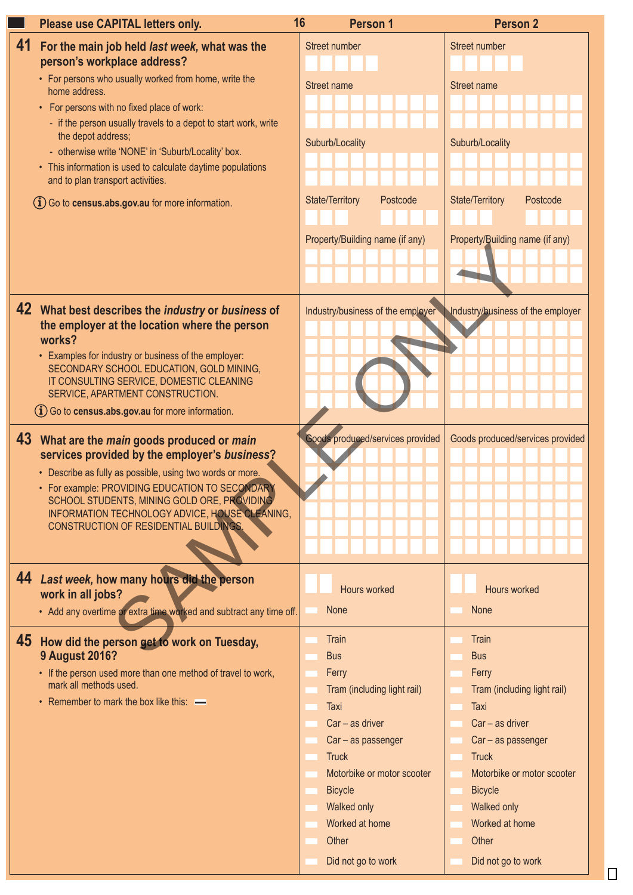| Please use CAPITAL letters only.                                                                              | 16<br><b>Person 1</b>                                               | <b>Person 2</b>                 |  |
|---------------------------------------------------------------------------------------------------------------|---------------------------------------------------------------------|---------------------------------|--|
| 41 For the main job held last week, what was the                                                              | Street number                                                       | Street number                   |  |
| person's workplace address?                                                                                   |                                                                     |                                 |  |
| • For persons who usually worked from home, write the                                                         | Street name                                                         | Street name                     |  |
| home address.                                                                                                 |                                                                     |                                 |  |
| • For persons with no fixed place of work:<br>- if the person usually travels to a depot to start work, write |                                                                     |                                 |  |
| the depot address;                                                                                            | Suburb/Locality                                                     | Suburb/Locality                 |  |
| - otherwise write 'NONE' in 'Suburb/Locality' box.                                                            |                                                                     |                                 |  |
| • This information is used to calculate daytime populations                                                   |                                                                     |                                 |  |
| and to plan transport activities.                                                                             |                                                                     |                                 |  |
| (i) Go to census.abs.gov.au for more information.                                                             | <b>State/Territory</b><br>Postcode                                  | State/Territory<br>Postcode     |  |
|                                                                                                               |                                                                     |                                 |  |
|                                                                                                               | Property/Building name (if any)                                     | Property/Building name (if any) |  |
|                                                                                                               |                                                                     |                                 |  |
|                                                                                                               |                                                                     |                                 |  |
|                                                                                                               |                                                                     |                                 |  |
| 42 What best describes the industry or business of                                                            | Industry/business of the employer Industry/business of the employer |                                 |  |
| the employer at the location where the person                                                                 |                                                                     |                                 |  |
| works?                                                                                                        |                                                                     |                                 |  |
| • Examples for industry or business of the employer:<br>SECONDARY SCHOOL EDUCATION, GOLD MINING,              |                                                                     |                                 |  |
| IT CONSULTING SERVICE, DOMESTIC CLEANING                                                                      |                                                                     |                                 |  |
| SERVICE, APARTMENT CONSTRUCTION.                                                                              |                                                                     |                                 |  |
| (i) Go to census.abs.gov.au for more information.                                                             |                                                                     |                                 |  |
|                                                                                                               | Goods produced/services provided Goods produced/services provided   |                                 |  |
| 43 What are the <i>main</i> goods produced or <i>main</i><br>services provided by the employer's business?    |                                                                     |                                 |  |
| • Describe as fully as possible, using two words or more.                                                     |                                                                     |                                 |  |
| • For example: PROVIDING EDUCATION TO SECONDARY                                                               |                                                                     |                                 |  |
| SCHOOL STUDENTS, MINING GOLD ORE, PROVIDING                                                                   |                                                                     |                                 |  |
| INFORMATION TECHNOLOGY ADVICE, HOUSE CLEANING,                                                                |                                                                     |                                 |  |
| CONSTRUCTION OF RESIDENTIAL BUILDINGS.                                                                        |                                                                     |                                 |  |
|                                                                                                               |                                                                     |                                 |  |
|                                                                                                               |                                                                     |                                 |  |
| 44 Last week, how many hours did the person                                                                   | Hours worked                                                        | Hours worked                    |  |
| work in all jobs?                                                                                             |                                                                     |                                 |  |
| • Add any overtime or extra time worked and subtract any time off.                                            | None                                                                | None                            |  |
| 45 How did the person get to work on Tuesday,                                                                 | Train                                                               | Train                           |  |
| <b>9 August 2016?</b>                                                                                         | <b>Bus</b>                                                          | <b>Bus</b>                      |  |
| • If the person used more than one method of travel to work,                                                  | Ferry                                                               | Ferry                           |  |
| mark all methods used.                                                                                        | Tram (including light rail)                                         | Tram (including light rail)     |  |
| • Remember to mark the box like this: $\longrightarrow$                                                       | Taxi                                                                | Taxi                            |  |
|                                                                                                               | Car - as driver                                                     | $Car - as driver$               |  |
|                                                                                                               | Car - as passenger                                                  | Car - as passenger              |  |
|                                                                                                               | <b>Truck</b>                                                        | <b>Truck</b>                    |  |
|                                                                                                               | Motorbike or motor scooter                                          | Motorbike or motor scooter      |  |
|                                                                                                               | <b>Bicycle</b>                                                      | <b>Bicycle</b>                  |  |
|                                                                                                               | Walked only                                                         | Walked only                     |  |
|                                                                                                               | Worked at home                                                      | Worked at home                  |  |
|                                                                                                               | Other                                                               | Other                           |  |
|                                                                                                               | Did not go to work                                                  | Did not go to work              |  |
|                                                                                                               |                                                                     |                                 |  |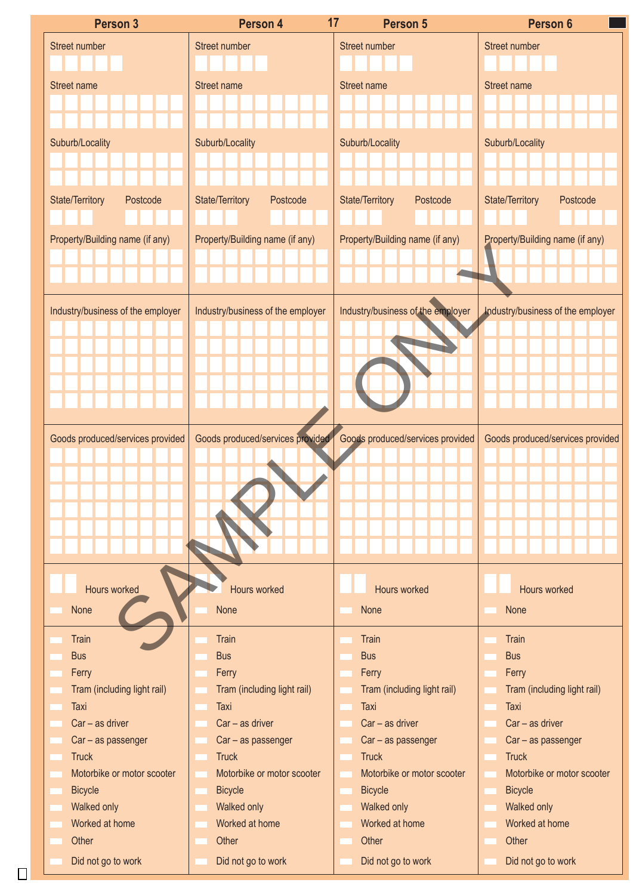|                                                                                                                                     | Person 4                    |          | 17                              | Person 5                    |                                                                       | Person 6     |  |
|-------------------------------------------------------------------------------------------------------------------------------------|-----------------------------|----------|---------------------------------|-----------------------------|-----------------------------------------------------------------------|--------------|--|
| Street number                                                                                                                       |                             |          | Street number                   |                             | Street number                                                         |              |  |
|                                                                                                                                     |                             |          |                                 |                             |                                                                       |              |  |
| Street name                                                                                                                         |                             |          | Street name                     |                             | Street name                                                           |              |  |
|                                                                                                                                     |                             |          |                                 |                             |                                                                       |              |  |
|                                                                                                                                     |                             |          |                                 |                             |                                                                       |              |  |
| Suburb/Locality                                                                                                                     |                             |          | Suburb/Locality                 |                             | Suburb/Locality                                                       |              |  |
|                                                                                                                                     |                             |          |                                 |                             |                                                                       |              |  |
|                                                                                                                                     |                             |          |                                 |                             |                                                                       |              |  |
| State/Territory                                                                                                                     |                             | Postcode | <b>State/Territory</b>          | Postcode                    | State/Territory                                                       | Postcode     |  |
|                                                                                                                                     |                             |          |                                 |                             |                                                                       |              |  |
| Property/Building name (if any)                                                                                                     |                             |          | Property/Building name (if any) |                             | Property/Building name (if any)                                       |              |  |
|                                                                                                                                     |                             |          |                                 |                             |                                                                       |              |  |
|                                                                                                                                     |                             |          |                                 |                             |                                                                       |              |  |
|                                                                                                                                     |                             |          |                                 |                             |                                                                       |              |  |
| Industry/business of the employer                                                                                                   |                             |          |                                 |                             | Industry/business of the employer   Industry/business of the employer |              |  |
|                                                                                                                                     |                             |          |                                 |                             |                                                                       |              |  |
|                                                                                                                                     |                             |          |                                 |                             |                                                                       |              |  |
|                                                                                                                                     |                             |          |                                 |                             |                                                                       |              |  |
|                                                                                                                                     |                             |          |                                 |                             |                                                                       |              |  |
|                                                                                                                                     |                             |          |                                 |                             |                                                                       |              |  |
|                                                                                                                                     |                             |          |                                 |                             |                                                                       |              |  |
| Goods produced/services provided Goods produced/services provided Goods produced/services provided Goods produced/services provided |                             |          |                                 |                             |                                                                       |              |  |
|                                                                                                                                     |                             |          |                                 |                             |                                                                       |              |  |
|                                                                                                                                     |                             |          |                                 |                             |                                                                       |              |  |
|                                                                                                                                     |                             |          |                                 |                             |                                                                       |              |  |
|                                                                                                                                     |                             |          |                                 |                             |                                                                       |              |  |
|                                                                                                                                     |                             |          |                                 |                             |                                                                       |              |  |
|                                                                                                                                     |                             |          |                                 |                             |                                                                       |              |  |
|                                                                                                                                     |                             |          |                                 |                             |                                                                       |              |  |
|                                                                                                                                     | Hours worked                |          |                                 | Hours worked                |                                                                       | Hours worked |  |
| None                                                                                                                                |                             |          | None                            |                             | None                                                                  |              |  |
|                                                                                                                                     |                             |          |                                 |                             |                                                                       |              |  |
| Train                                                                                                                               |                             |          | Train                           |                             | Train                                                                 |              |  |
| <b>Bus</b>                                                                                                                          |                             |          | <b>Bus</b>                      |                             | <b>Bus</b>                                                            |              |  |
| Ferry                                                                                                                               |                             |          | Ferry                           |                             | Ferry                                                                 |              |  |
|                                                                                                                                     | Tram (including light rail) |          |                                 | Tram (including light rail) | Tram (including light rail)                                           |              |  |
| Taxi                                                                                                                                |                             |          | Taxi                            |                             | Taxi                                                                  |              |  |
|                                                                                                                                     | $Car - as driver$           |          |                                 | $Car - as driver$           | $Car - as driver$                                                     |              |  |
|                                                                                                                                     | Car - as passenger          |          |                                 | Car - as passenger          | Car - as passenger                                                    |              |  |
| Truck                                                                                                                               |                             |          | Truck                           |                             | Truck                                                                 |              |  |
|                                                                                                                                     | Motorbike or motor scooter  |          |                                 | Motorbike or motor scooter  | Motorbike or motor scooter                                            |              |  |
| <b>Bicycle</b>                                                                                                                      |                             |          | Bicycle                         |                             | Bicycle                                                               |              |  |
| Walked only                                                                                                                         |                             |          | Walked only                     |                             | Walked only                                                           |              |  |
|                                                                                                                                     | Worked at home              |          |                                 | Worked at home              | Worked at home                                                        |              |  |
| Other                                                                                                                               |                             |          | Other                           |                             | Other                                                                 |              |  |
|                                                                                                                                     | Did not go to work          |          |                                 | Did not go to work          | Did not go to work                                                    |              |  |
|                                                                                                                                     |                             |          |                                 |                             |                                                                       |              |  |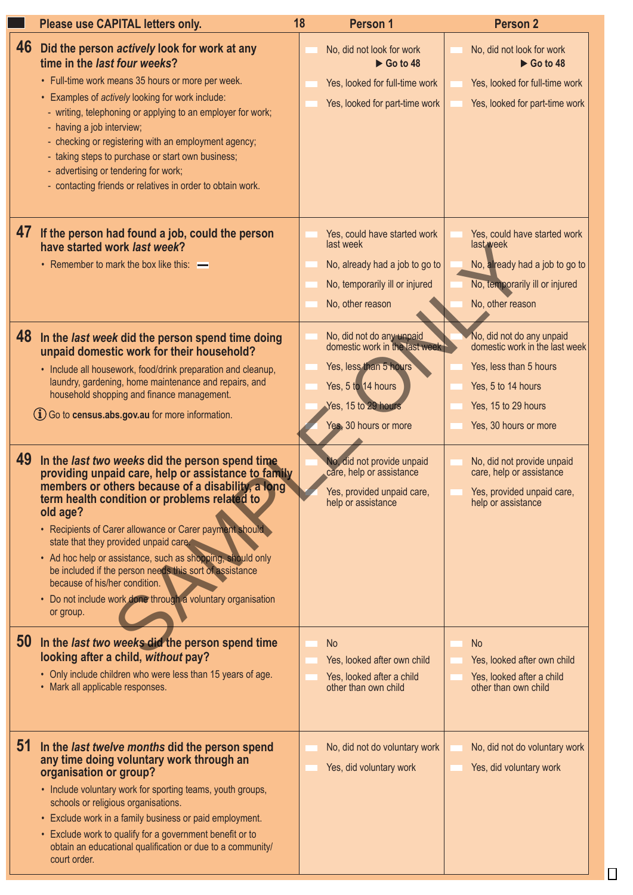| Please use CAPITAL letters only.                                                                                                                                                                                                                                                                                                                                                                                                                                                                                                                                     | 18        | Person 1                                                                                                                                                   | <b>Person 2</b>                                                                                                                                             |  |
|----------------------------------------------------------------------------------------------------------------------------------------------------------------------------------------------------------------------------------------------------------------------------------------------------------------------------------------------------------------------------------------------------------------------------------------------------------------------------------------------------------------------------------------------------------------------|-----------|------------------------------------------------------------------------------------------------------------------------------------------------------------|-------------------------------------------------------------------------------------------------------------------------------------------------------------|--|
| 46 Did the person actively look for work at any<br>time in the last four weeks?<br>• Full-time work means 35 hours or more per week.<br>• Examples of actively looking for work include:<br>- writing, telephoning or applying to an employer for work;<br>- having a job interview;<br>- checking or registering with an employment agency;<br>- taking steps to purchase or start own business;<br>- advertising or tendering for work;<br>- contacting friends or relatives in order to obtain work.                                                              |           | No, did not look for work<br>$\triangleright$ Go to 48<br>Yes, looked for full-time work<br>Yes, looked for part-time work                                 | No, did not look for work<br>$\triangleright$ Go to 48<br>Yes, looked for full-time work<br>Yes, looked for part-time work                                  |  |
| 47 If the person had found a job, could the person<br>have started work last week?<br>• Remember to mark the box like this: -                                                                                                                                                                                                                                                                                                                                                                                                                                        | last week | Yes, could have started work<br>No, already had a job to go to<br>No, temporarily ill or injured<br>No, other reason                                       | Yes, could have started work<br>last week<br>No, already had a job to go to<br>No, temporarily ill or injured<br>No, other reason                           |  |
| 48 In the last week did the person spend time doing<br>unpaid domestic work for their household?<br>• Include all housework, food/drink preparation and cleanup,<br>laundry, gardening, home maintenance and repairs, and<br>household shopping and finance management.<br>$(i)$ Go to census.abs.gov.au for more information.                                                                                                                                                                                                                                       |           | No, did not do any unpaid<br>domestic work in the last week<br>Yes, less than 5 hours<br>Yes, 5 to 14 hours<br>Yes, 15 to 29 hour<br>Yes, 30 hours or more | No, did not do any unpaid<br>domestic work in the last week<br>Yes, less than 5 hours<br>Yes, 5 to 14 hours<br>Yes, 15 to 29 hours<br>Yes, 30 hours or more |  |
| 49 In the last two weeks did the person spend time<br>providing unpaid care, help or assistance to family<br>members or others because of a disability, a long<br>term health condition or problems related to<br>old age?<br>• Recipients of Carer allowance or Carer payment should<br>state that they provided unpaid care.<br>• Ad hoc help or assistance, such as shopping, should only<br>be included if the person needs this sort of assistance<br>because of his/her condition.<br>· Do not include work done through a voluntary organisation<br>or group. |           | No, did not provide unpaid<br>care, help or assistance<br>Yes, provided unpaid care,<br>help or assistance                                                 | No, did not provide unpaid<br>care, help or assistance<br>Yes, provided unpaid care,<br>help or assistance                                                  |  |
| 50 In the last two weeks did the person spend time<br>looking after a child, without pay?<br>• Only include children who were less than 15 years of age.<br>• Mark all applicable responses.                                                                                                                                                                                                                                                                                                                                                                         | <b>No</b> | Yes, looked after own child<br>Yes, looked after a child<br>other than own child                                                                           | <b>No</b><br>Yes, looked after own child<br>Yes, looked after a child<br>other than own child                                                               |  |
| 51 In the last twelve months did the person spend<br>any time doing voluntary work through an<br>organisation or group?<br>• Include voluntary work for sporting teams, youth groups,<br>schools or religious organisations.<br>• Exclude work in a family business or paid employment.<br>• Exclude work to qualify for a government benefit or to<br>obtain an educational qualification or due to a community/<br>court order.                                                                                                                                    |           | No, did not do voluntary work<br>Yes, did voluntary work                                                                                                   | No, did not do voluntary work<br>Yes, did voluntary work                                                                                                    |  |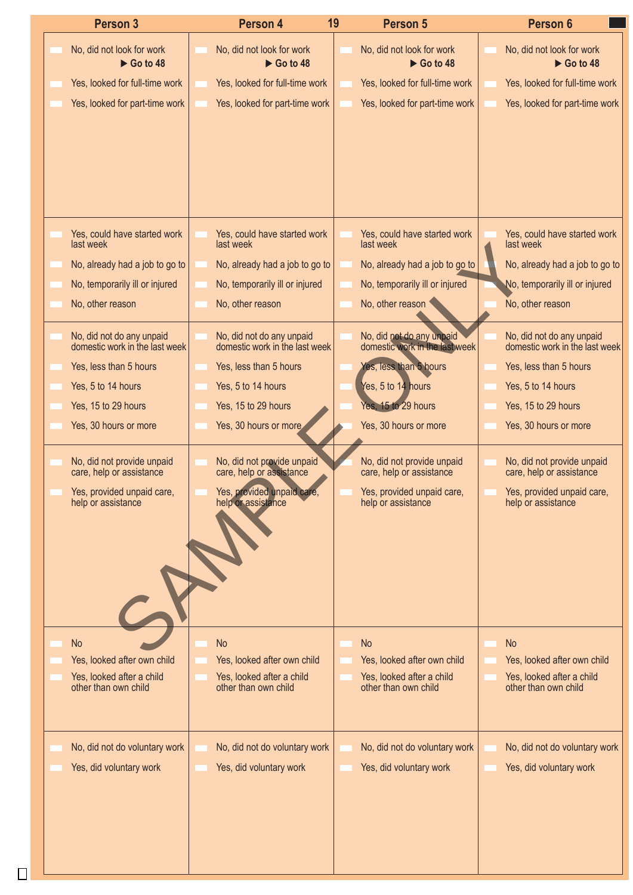| <b>Person 3</b>                                             | Person 4                                                    | 19<br>Person 5                                         | Person 6                                                    |
|-------------------------------------------------------------|-------------------------------------------------------------|--------------------------------------------------------|-------------------------------------------------------------|
| No, did not look for work<br>$\triangleright$ Go to 48      | No, did not look for work<br>$\triangleright$ Go to 48      | No, did not look for work<br>$\triangleright$ Go to 48 | No, did not look for work<br>$\triangleright$ Go to 48      |
| Yes, looked for full-time work                              | Yes, looked for full-time work                              | Yes, looked for full-time work                         | Yes, looked for full-time work                              |
| Yes, looked for part-time work                              | Yes, looked for part-time work                              | Yes, looked for part-time work                         | Yes, looked for part-time work                              |
|                                                             |                                                             |                                                        |                                                             |
|                                                             |                                                             |                                                        |                                                             |
|                                                             |                                                             |                                                        |                                                             |
|                                                             |                                                             |                                                        |                                                             |
| Yes, could have started work<br>last week                   | Yes, could have started work<br>last week                   | Yes, could have started work<br>last week              | Yes, could have started work<br>last week                   |
| No, already had a job to go to                              | No, already had a job to go to                              | No, already had a job to go to                         | No, already had a job to go to                              |
| No, temporarily ill or injured                              | No, temporarily ill or injured                              | No, temporarily ill or injured                         | No, temporarily ill or injured                              |
| No, other reason                                            | No, other reason                                            | No, other reason                                       | No, other reason                                            |
| No, did not do any unpaid<br>domestic work in the last week | No, did not do any unpaid<br>domestic work in the last week | No, did not do any unpaid                              | No, did not do any unpaid<br>domestic work in the last week |
| Yes, less than 5 hours                                      | Yes, less than 5 hours                                      | Yes, less than 5 hours                                 | Yes, less than 5 hours                                      |
| Yes, 5 to 14 hours                                          | Yes, 5 to 14 hours                                          | Yes, 5 to 14 hours                                     | Yes, 5 to 14 hours                                          |
| Yes, 15 to 29 hours                                         | Yes, 15 to 29 hours                                         | Yes, 15 to 29 hours                                    | Yes, 15 to 29 hours                                         |
| Yes, 30 hours or more                                       | Yes, 30 hours or more                                       | Yes, 30 hours or more                                  | Yes, 30 hours or more                                       |
| No, did not provide unpaid<br>care, help or assistance      | No, did not provide unpaid<br>care, help or assistance      | No, did not provide unpaid<br>care, help or assistance | No, did not provide unpaid<br>care, help or assistance      |
| Yes, provided unpaid care,<br>help or assistance            | Yes, provided unpaid care,<br>help or assistance            | Yes, provided unpaid care,<br>help or assistance       | Yes, provided unpaid care,<br>help or assistance            |
|                                                             |                                                             |                                                        |                                                             |
|                                                             |                                                             |                                                        |                                                             |
|                                                             |                                                             |                                                        |                                                             |
|                                                             |                                                             |                                                        |                                                             |
| <b>No</b>                                                   | <b>No</b>                                                   | <b>No</b>                                              | No                                                          |
| Yes, looked after own child                                 | Yes, looked after own child                                 | Yes, looked after own child                            | Yes, looked after own child                                 |
| Yes, looked after a child                                   | Yes, looked after a child                                   | Yes, looked after a child                              | Yes, looked after a child                                   |
| other than own child                                        | other than own child                                        | other than own child                                   | other than own child                                        |
|                                                             |                                                             |                                                        |                                                             |
| No, did not do voluntary work                               | No, did not do voluntary work                               | No, did not do voluntary work                          | No, did not do voluntary work                               |
| Yes, did voluntary work                                     | Yes, did voluntary work                                     | Yes, did voluntary work                                | Yes, did voluntary work                                     |
|                                                             |                                                             |                                                        |                                                             |
|                                                             |                                                             |                                                        |                                                             |
|                                                             |                                                             |                                                        |                                                             |
|                                                             |                                                             |                                                        |                                                             |
|                                                             |                                                             |                                                        |                                                             |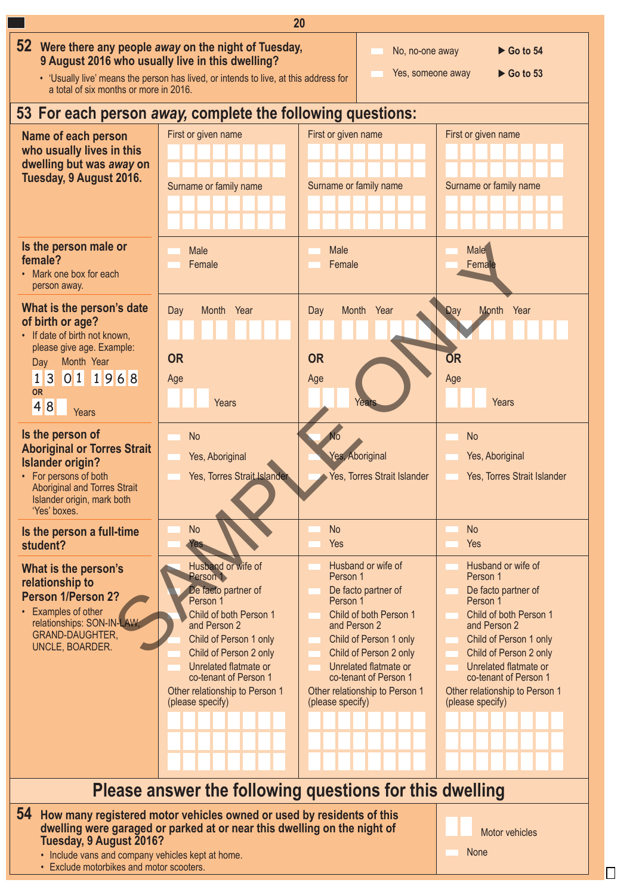

• Exclude motorbikes and motor scooters.

П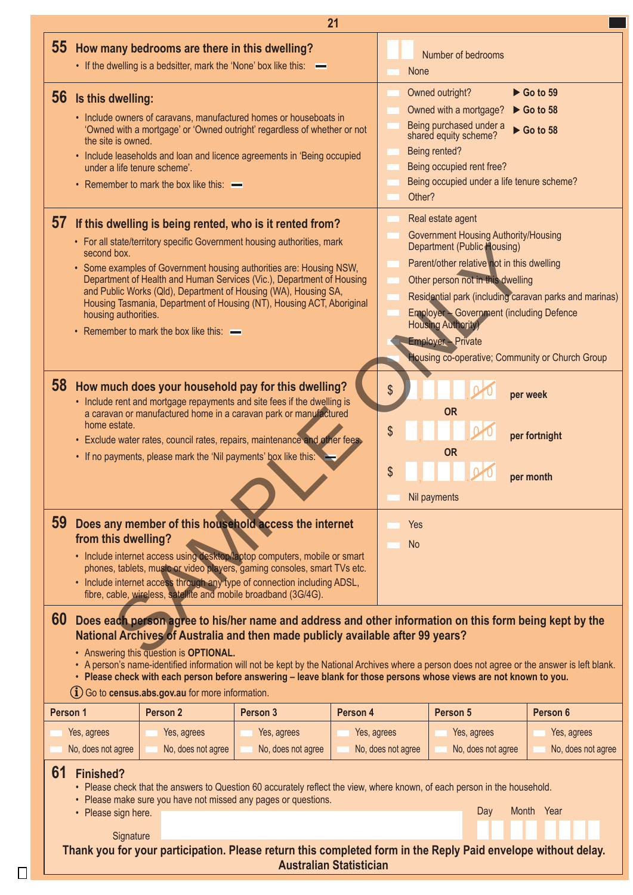| 21                                                                                                                                                                                                                                                                                                                                                                                                                                                                                                                                                                              |                                                                                                                                                                                                                                                                                                                                                                                    |                                                                                                                                                                                                                                                                                                                                                                                                                                                                               |                    |                                                                                                                                                                                                                                                                                            |                                                                                                                                                                                                                                                                                                                                                                                                                    |                    |                    |  |  |  |
|---------------------------------------------------------------------------------------------------------------------------------------------------------------------------------------------------------------------------------------------------------------------------------------------------------------------------------------------------------------------------------------------------------------------------------------------------------------------------------------------------------------------------------------------------------------------------------|------------------------------------------------------------------------------------------------------------------------------------------------------------------------------------------------------------------------------------------------------------------------------------------------------------------------------------------------------------------------------------|-------------------------------------------------------------------------------------------------------------------------------------------------------------------------------------------------------------------------------------------------------------------------------------------------------------------------------------------------------------------------------------------------------------------------------------------------------------------------------|--------------------|--------------------------------------------------------------------------------------------------------------------------------------------------------------------------------------------------------------------------------------------------------------------------------------------|--------------------------------------------------------------------------------------------------------------------------------------------------------------------------------------------------------------------------------------------------------------------------------------------------------------------------------------------------------------------------------------------------------------------|--------------------|--------------------|--|--|--|
|                                                                                                                                                                                                                                                                                                                                                                                                                                                                                                                                                                                 |                                                                                                                                                                                                                                                                                                                                                                                    | 55 How many bedrooms are there in this dwelling?<br>• If the dwelling is a bedsitter, mark the 'None' box like this: -                                                                                                                                                                                                                                                                                                                                                        |                    |                                                                                                                                                                                                                                                                                            | None                                                                                                                                                                                                                                                                                                                                                                                                               | Number of bedrooms |                    |  |  |  |
|                                                                                                                                                                                                                                                                                                                                                                                                                                                                                                                                                                                 | 56 Is this dwelling:<br>the site is owned.<br>under a life tenure scheme'.                                                                                                                                                                                                                                                                                                         | • Include owners of caravans, manufactured homes or houseboats in<br>'Owned with a mortgage' or 'Owned outright' regardless of whether or not<br>• Include leaseholds and loan and licence agreements in 'Being occupied<br>• Remember to mark the box like this: $\equiv$                                                                                                                                                                                                    |                    | Owned outright?<br>$\triangleright$ Go to 59<br>Owned with a mortgage?<br>$\triangleright$ Go to 58<br>Being purchased under a<br>$\triangleright$ Go to 58<br>shared equity scheme?<br>Being rented?<br>Being occupied rent free?<br>Being occupied under a life tenure scheme?<br>Other? |                                                                                                                                                                                                                                                                                                                                                                                                                    |                    |                    |  |  |  |
|                                                                                                                                                                                                                                                                                                                                                                                                                                                                                                                                                                                 | second box.<br>housing authorities.                                                                                                                                                                                                                                                                                                                                                | 57 If this dwelling is being rented, who is it rented from?<br>• For all state/territory specific Government housing authorities, mark<br>• Some examples of Government housing authorities are: Housing NSW,<br>Department of Health and Human Services (Vic.), Department of Housing<br>and Public Works (Qld), Department of Housing (WA), Housing SA,<br>Housing Tasmania, Department of Housing (NT), Housing ACT, Aboriginal<br>• Remember to mark the box like this: - |                    |                                                                                                                                                                                                                                                                                            | Real estate agent<br><b>Government Housing Authority/Housing</b><br><b>Department (Public Housing)</b><br>Parent/other relative not in this dwelling<br>Other person not in this dwelling<br>Residential park (including caravan parks and marinas)<br><b>Employer - Government (including Defence</b><br><b>Housing Authority</b><br><b>Employer - Private</b><br>Housing co-operative; Community or Church Group |                    |                    |  |  |  |
| <b>59</b>                                                                                                                                                                                                                                                                                                                                                                                                                                                                                                                                                                       | home estate.<br>from this dwelling?                                                                                                                                                                                                                                                                                                                                                | 58 How much does your household pay for this dwelling?<br>• Include rent and mortgage repayments and site fees if the dwelling is<br>a caravan or manufactured home in a caravan park or manufactured<br>· Exclude water rates, council rates, repairs, maintenance and other fees.<br>• If no payments, please mark the 'Nil payments' box like this:<br>Does any member of this household access the internet                                                               |                    |                                                                                                                                                                                                                                                                                            | \$<br>per week<br><b>OR</b><br>\$<br>per fortnight<br><b>OR</b><br>\$<br>per month<br>Nil payments<br>Yes                                                                                                                                                                                                                                                                                                          |                    |                    |  |  |  |
|                                                                                                                                                                                                                                                                                                                                                                                                                                                                                                                                                                                 |                                                                                                                                                                                                                                                                                                                                                                                    | · Include internet access using desktop/laptop computers, mobile or smart<br>phones, tablets, music or video players, gaming consoles, smart TVs etc.<br>• Include internet access through any type of connection including ADSL,<br>fibre, cable, wireless, satellite and mobile broadband (3G/4G).                                                                                                                                                                          |                    |                                                                                                                                                                                                                                                                                            |                                                                                                                                                                                                                                                                                                                                                                                                                    |                    |                    |  |  |  |
| 60<br>Does each person agree to his/her name and address and other information on this form being kept by the<br>National Archives of Australia and then made publicly available after 99 years?<br>• Answering this question is OPTIONAL.<br>• A person's name-identified information will not be kept by the National Archives where a person does not agree or the answer is left blank.<br>· Please check with each person before answering - leave blank for those persons whose views are not known to you.<br>$(i)$ Go to <b>census.abs.gov.au</b> for more information. |                                                                                                                                                                                                                                                                                                                                                                                    |                                                                                                                                                                                                                                                                                                                                                                                                                                                                               |                    |                                                                                                                                                                                                                                                                                            |                                                                                                                                                                                                                                                                                                                                                                                                                    |                    |                    |  |  |  |
| Person 1                                                                                                                                                                                                                                                                                                                                                                                                                                                                                                                                                                        |                                                                                                                                                                                                                                                                                                                                                                                    | Person 2                                                                                                                                                                                                                                                                                                                                                                                                                                                                      | Person 3           | Person 4                                                                                                                                                                                                                                                                                   |                                                                                                                                                                                                                                                                                                                                                                                                                    | Person 5           | Person 6           |  |  |  |
|                                                                                                                                                                                                                                                                                                                                                                                                                                                                                                                                                                                 | Yes, agrees                                                                                                                                                                                                                                                                                                                                                                        | Yes, agrees                                                                                                                                                                                                                                                                                                                                                                                                                                                                   | Yes, agrees        | Yes, agrees                                                                                                                                                                                                                                                                                |                                                                                                                                                                                                                                                                                                                                                                                                                    | Yes, agrees        | Yes, agrees        |  |  |  |
|                                                                                                                                                                                                                                                                                                                                                                                                                                                                                                                                                                                 | No, does not agree                                                                                                                                                                                                                                                                                                                                                                 | No, does not agree                                                                                                                                                                                                                                                                                                                                                                                                                                                            | No, does not agree |                                                                                                                                                                                                                                                                                            | No, does not agree                                                                                                                                                                                                                                                                                                                                                                                                 | No, does not agree | No, does not agree |  |  |  |
| 61                                                                                                                                                                                                                                                                                                                                                                                                                                                                                                                                                                              | Finished?<br>• Please check that the answers to Question 60 accurately reflect the view, where known, of each person in the household.<br>• Please make sure you have not missed any pages or questions.<br>Month Year<br>Day<br>• Please sign here.<br>Signature<br>Thank you for your participation. Please return this completed form in the Reply Paid envelope without delay. |                                                                                                                                                                                                                                                                                                                                                                                                                                                                               |                    |                                                                                                                                                                                                                                                                                            |                                                                                                                                                                                                                                                                                                                                                                                                                    |                    |                    |  |  |  |

**Australian Statistician**